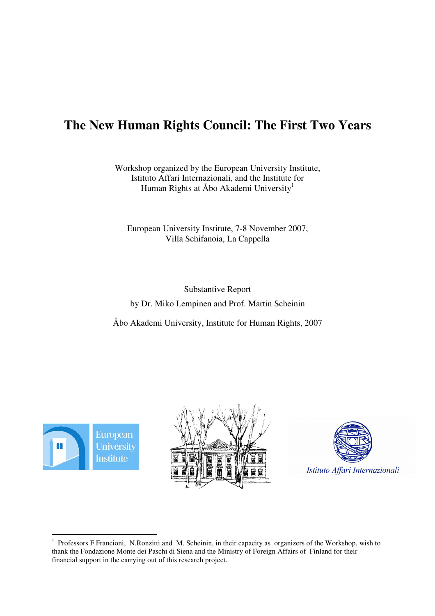# **The New Human Rights Council: The First Two Years**

Workshop organized by the European University Institute, Istituto Affari Internazionali, and the Institute for Human Rights at Åbo Akademi University 1

European University Institute, 7-8 November 2007, Villa Schifanoia, La Cappella

Substantive Report by Dr. Miko Lempinen and Prof. Martin Scheinin

Åbo Akademi University, Institute for Human Rights, 2007







<sup>&</sup>lt;sup>1</sup> Professors F.Francioni, N.Ronzitti and M. Scheinin, in their capacity as organizers of the Workshop, wish to thank the Fondazione Monte dei Paschi di Siena and the Ministry of Foreign Affairs of Finland for their financial support in the carrying out of this research project.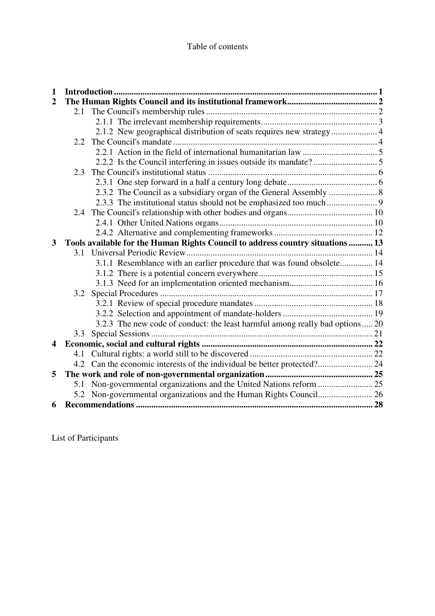| $\mathbf{1}$            |     |                                                                                |  |
|-------------------------|-----|--------------------------------------------------------------------------------|--|
| $\overline{2}$          |     |                                                                                |  |
|                         |     |                                                                                |  |
|                         |     |                                                                                |  |
|                         |     | 2.1.2 New geographical distribution of seats requires new strategy 4           |  |
|                         |     |                                                                                |  |
|                         |     |                                                                                |  |
|                         |     |                                                                                |  |
|                         | 2.3 |                                                                                |  |
|                         |     |                                                                                |  |
|                         |     |                                                                                |  |
|                         |     |                                                                                |  |
|                         |     |                                                                                |  |
|                         |     |                                                                                |  |
|                         |     |                                                                                |  |
| 3                       |     | Tools available for the Human Rights Council to address country situations  13 |  |
|                         |     |                                                                                |  |
|                         |     | 3.1.1 Resemblance with an earlier procedure that was found obsolete 14         |  |
|                         |     |                                                                                |  |
|                         |     |                                                                                |  |
|                         |     |                                                                                |  |
|                         |     |                                                                                |  |
|                         |     |                                                                                |  |
|                         |     | 3.2.3 The new code of conduct: the least harmful among really bad options 20   |  |
|                         |     |                                                                                |  |
| $\overline{\mathbf{4}}$ |     |                                                                                |  |
|                         | 4.1 |                                                                                |  |
|                         |     |                                                                                |  |
| 5                       |     |                                                                                |  |
|                         | 5.1 |                                                                                |  |
|                         |     |                                                                                |  |
| 6                       |     |                                                                                |  |

List of Participants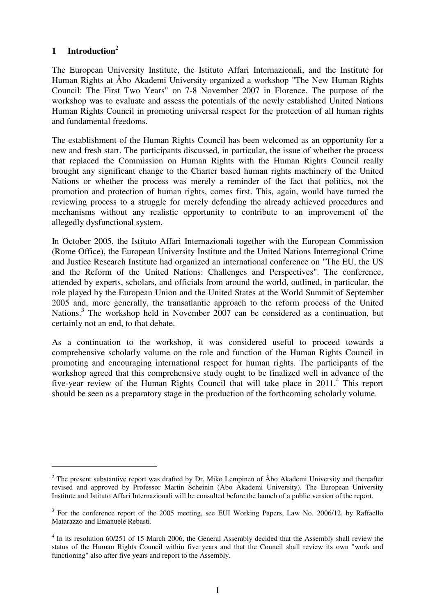# **1 Introduction** 2

The European University Institute, the Istituto Affari Internazionali, and the Institute for Human Rights at Åbo Akademi University organized a workshop "The New Human Rights Council: The First Two Years" on 7-8 November 2007 in Florence. The purpose of the workshop was to evaluate and assess the potentials of the newly established United Nations Human Rights Council in promoting universal respect for the protection of all human rights and fundamental freedoms.

The establishment of the Human Rights Council has been welcomed as an opportunity for a new and fresh start. The participants discussed, in particular, the issue of whether the process that replaced the Commission on Human Rights with the Human Rights Council really brought any significant change to the Charter based human rights machinery of the United Nations or whether the process was merely a reminder of the fact that politics, not the promotion and protection of human rights, comes first. This, again, would have turned the reviewing process to a struggle for merely defending the already achieved procedures and mechanisms without any realistic opportunity to contribute to an improvement of the allegedly dysfunctional system.

In October 2005, the Istituto Affari Internazionali together with the European Commission (Rome Office), the European University Institute and the United Nations Interregional Crime and Justice Research Institute had organized an international conference on "The EU, the US and the Reform of the United Nations: Challenges and Perspectives". The conference, attended by experts, scholars, and officials from around the world, outlined, in particular, the role played by the European Union and the United States at the World Summit of September 2005 and, more generally, the transatlantic approach to the reform process of the United Nations.<sup>3</sup> The workshop held in November 2007 can be considered as a continuation, but certainly not an end, to that debate.

As a continuation to the workshop, it was considered useful to proceed towards a comprehensive scholarly volume on the role and function of the Human Rights Council in promoting and encouraging international respect for human rights. The participants of the workshop agreed that this comprehensive study ought to be finalized well in advance of the five-year review of the Human Rights Council that will take place in 2011. 4 This report should be seen as a preparatory stage in the production of the forthcoming scholarly volume.

<sup>&</sup>lt;sup>2</sup> The present substantive report was drafted by Dr. Miko Lempinen of Åbo Akademi University and thereafter revised and approved by Professor Martin Scheinin (Åbo Akademi University). The European University Institute and Istituto Affari Internazionali will be consulted before the launch of a public version of the report.

<sup>&</sup>lt;sup>3</sup> For the conference report of the 2005 meeting, see EUI Working Papers, Law No. 2006/12, by Raffaello Matarazzo and Emanuele Rebasti.

<sup>&</sup>lt;sup>4</sup> In its resolution 60/251 of 15 March 2006, the General Assembly decided that the Assembly shall review the status of the Human Rights Council within five years and that the Council shall review its own "work and functioning" also after five years and report to the Assembly.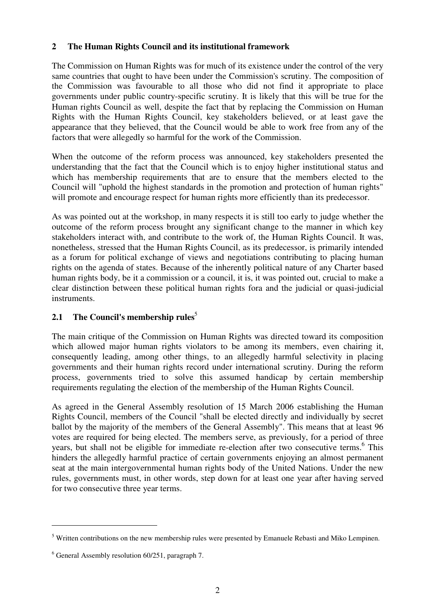### **2 The Human Rights Council and its institutional framework**

The Commission on Human Rights was for much of its existence under the control of the very same countries that ought to have been under the Commission's scrutiny. The composition of the Commission was favourable to all those who did not find it appropriate to place governments under public country-specific scrutiny. It is likely that this will be true for the Human rights Council as well, despite the fact that by replacing the Commission on Human Rights with the Human Rights Council, key stakeholders believed, or at least gave the appearance that they believed, that the Council would be able to work free from any of the factors that were allegedly so harmful for the work of the Commission.

When the outcome of the reform process was announced, key stakeholders presented the understanding that the fact that the Council which is to enjoy higher institutional status and which has membership requirements that are to ensure that the members elected to the Council will "uphold the highest standards in the promotion and protection of human rights" will promote and encourage respect for human rights more efficiently than its predecessor.

As was pointed out at the workshop, in many respects it is still too early to judge whether the outcome of the reform process brought any significant change to the manner in which key stakeholders interact with, and contribute to the work of, the Human Rights Council. It was, nonetheless, stressed that the Human Rights Council, as its predecessor, is primarily intended as a forum for political exchange of views and negotiations contributing to placing human rights on the agenda of states. Because of the inherently political nature of any Charter based human rights body, be it a commission or a council, it is, it was pointed out, crucial to make a clear distinction between these political human rights fora and the judicial or quasi-judicial instruments.

### **2.1 The Council's membership rules** 5

The main critique of the Commission on Human Rights was directed toward its composition which allowed major human rights violators to be among its members, even chairing it, consequently leading, among other things, to an allegedly harmful selectivity in placing governments and their human rights record under international scrutiny. During the reform process, governments tried to solve this assumed handicap by certain membership requirements regulating the election of the membership of the Human Rights Council.

As agreed in the General Assembly resolution of 15 March 2006 establishing the Human Rights Council, members of the Council "shall be elected directly and individually by secret ballot by the majority of the members of the General Assembly". This means that at least 96 votes are required for being elected. The members serve, as previously, for a period of three years, but shall not be eligible for immediate re-election after two consecutive terms.<sup>6</sup> This hinders the allegedly harmful practice of certain governments enjoying an almost permanent seat at the main intergovernmental human rights body of the United Nations. Under the new rules, governments must, in other words, step down for at least one year after having served for two consecutive three year terms.

<sup>&</sup>lt;sup>5</sup> Written contributions on the new membership rules were presented by Emanuele Rebasti and Miko Lempinen.

 $6$  General Assembly resolution 60/251, paragraph 7.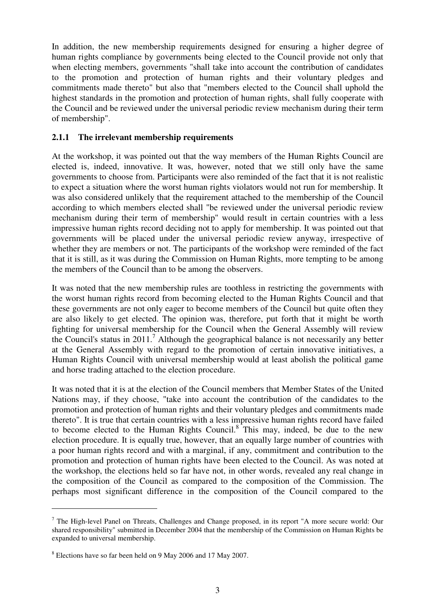In addition, the new membership requirements designed for ensuring a higher degree of human rights compliance by governments being elected to the Council provide not only that when electing members, governments "shall take into account the contribution of candidates to the promotion and protection of human rights and their voluntary pledges and commitments made thereto" but also that "members elected to the Council shall uphold the highest standards in the promotion and protection of human rights, shall fully cooperate with the Council and be reviewed under the universal periodic review mechanism during their term of membership".

#### **2.1.1 The irrelevant membership requirements**

At the workshop, it was pointed out that the way members of the Human Rights Council are elected is, indeed, innovative. It was, however, noted that we still only have the same governments to choose from. Participants were also reminded of the fact that it is not realistic to expect a situation where the worst human rights violators would not run for membership. It was also considered unlikely that the requirement attached to the membership of the Council according to which members elected shall "be reviewed under the universal periodic review mechanism during their term of membership" would result in certain countries with a less impressive human rights record deciding not to apply for membership. It was pointed out that governments will be placed under the universal periodic review anyway, irrespective of whether they are members or not. The participants of the workshop were reminded of the fact that it is still, as it was during the Commission on Human Rights, more tempting to be among the members of the Council than to be among the observers.

It was noted that the new membership rules are toothless in restricting the governments with the worst human rights record from becoming elected to the Human Rights Council and that these governments are not only eager to become members of the Council but quite often they are also likely to get elected. The opinion was, therefore, put forth that it might be worth fighting for universal membership for the Council when the General Assembly will review the Council's status in 2011. <sup>7</sup> Although the geographical balance is not necessarily any better at the General Assembly with regard to the promotion of certain innovative initiatives, a Human Rights Council with universal membership would at least abolish the political game and horse trading attached to the election procedure.

It was noted that it is at the election of the Council members that Member States of the United Nations may, if they choose, "take into account the contribution of the candidates to the promotion and protection of human rights and their voluntary pledges and commitments made thereto". It is true that certain countries with a less impressive human rights record have failed to become elected to the Human Rights Council.<sup>8</sup> This may, indeed, be due to the new election procedure. It is equally true, however, that an equally large number of countries with a poor human rights record and with a marginal, if any, commitment and contribution to the promotion and protection of human rights have been elected to the Council. As was noted at the workshop, the elections held so far have not, in other words, revealed any real change in the composition of the Council as compared to the composition of the Commission. The perhaps most significant difference in the composition of the Council compared to the

<sup>&</sup>lt;sup>7</sup> The High-level Panel on Threats, Challenges and Change proposed, in its report "A more secure world: Our shared responsibility" submitted in December 2004 that the membership of the Commission on Human Rights be expanded to universal membership.

<sup>8</sup> Elections have so far been held on 9 May 2006 and 17 May 2007.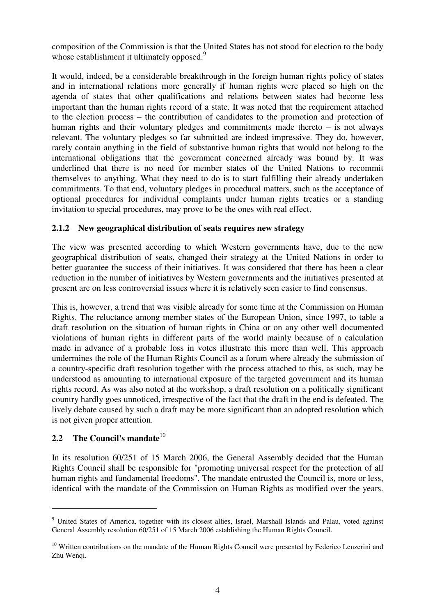composition of the Commission is that the United States has not stood for election to the body whose establishment it ultimately opposed.<sup>9</sup>

It would, indeed, be a considerable breakthrough in the foreign human rights policy of states and in international relations more generally if human rights were placed so high on the agenda of states that other qualifications and relations between states had become less important than the human rights record of a state. It was noted that the requirement attached to the election process – the contribution of candidates to the promotion and protection of human rights and their voluntary pledges and commitments made thereto – is not always relevant. The voluntary pledges so far submitted are indeed impressive. They do, however, rarely contain anything in the field of substantive human rights that would not belong to the international obligations that the government concerned already was bound by. It was underlined that there is no need for member states of the United Nations to recommit themselves to anything. What they need to do is to start fulfilling their already undertaken commitments. To that end, voluntary pledges in procedural matters, such as the acceptance of optional procedures for individual complaints under human rights treaties or a standing invitation to special procedures, may prove to be the ones with real effect.

### **2.1.2 New geographical distribution of seats requires new strategy**

The view was presented according to which Western governments have, due to the new geographical distribution of seats, changed their strategy at the United Nations in order to better guarantee the success of their initiatives. It was considered that there has been a clear reduction in the number of initiatives by Western governments and the initiatives presented at present are on less controversial issues where it is relatively seen easier to find consensus.

This is, however, a trend that was visible already for some time at the Commission on Human Rights. The reluctance among member states of the European Union, since 1997, to table a draft resolution on the situation of human rights in China or on any other well documented violations of human rights in different parts of the world mainly because of a calculation made in advance of a probable loss in votes illustrate this more than well. This approach undermines the role of the Human Rights Council as a forum where already the submission of a country-specific draft resolution together with the process attached to this, as such, may be understood as amounting to international exposure of the targeted government and its human rights record. As was also noted at the workshop, a draft resolution on a politically significant country hardly goes unnoticed, irrespective of the fact that the draft in the end is defeated. The lively debate caused by such a draft may be more significant than an adopted resolution which is not given proper attention.

# **2.2 The Council's mandate** 10

In its resolution 60/251 of 15 March 2006, the General Assembly decided that the Human Rights Council shall be responsible for "promoting universal respect for the protection of all human rights and fundamental freedoms". The mandate entrusted the Council is, more or less, identical with the mandate of the Commission on Human Rights as modified over the years.

<sup>&</sup>lt;sup>9</sup> United States of America, together with its closest allies, Israel, Marshall Islands and Palau, voted against General Assembly resolution 60/251 of 15 March 2006 establishing the Human Rights Council.

<sup>&</sup>lt;sup>10</sup> Written contributions on the mandate of the Human Rights Council were presented by Federico Lenzerini and Zhu Wenqi.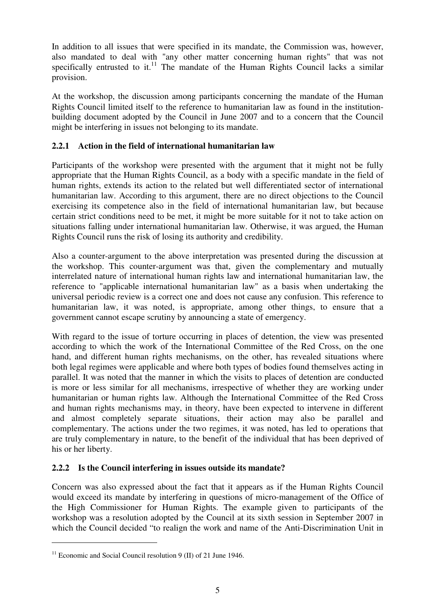In addition to all issues that were specified in its mandate, the Commission was, however, also mandated to deal with "any other matter concerning human rights" that was not specifically entrusted to it.<sup>11</sup> The mandate of the Human Rights Council lacks a similar provision.

At the workshop, the discussion among participants concerning the mandate of the Human Rights Council limited itself to the reference to humanitarian law as found in the institutionbuilding document adopted by the Council in June 2007 and to a concern that the Council might be interfering in issues not belonging to its mandate.

### **2.2.1 Action in the field of international humanitarian law**

Participants of the workshop were presented with the argument that it might not be fully appropriate that the Human Rights Council, as a body with a specific mandate in the field of human rights, extends its action to the related but well differentiated sector of international humanitarian law. According to this argument, there are no direct objections to the Council exercising its competence also in the field of international humanitarian law, but because certain strict conditions need to be met, it might be more suitable for it not to take action on situations falling under international humanitarian law. Otherwise, it was argued, the Human Rights Council runs the risk of losing its authority and credibility.

Also a counter-argument to the above interpretation was presented during the discussion at the workshop. This counter-argument was that, given the complementary and mutually interrelated nature of international human rights law and international humanitarian law, the reference to "applicable international humanitarian law" as a basis when undertaking the universal periodic review is a correct one and does not cause any confusion. This reference to humanitarian law, it was noted, is appropriate, among other things, to ensure that a government cannot escape scrutiny by announcing a state of emergency.

With regard to the issue of torture occurring in places of detention, the view was presented according to which the work of the International Committee of the Red Cross, on the one hand, and different human rights mechanisms, on the other, has revealed situations where both legal regimes were applicable and where both types of bodies found themselves acting in parallel. It was noted that the manner in which the visits to places of detention are conducted is more or less similar for all mechanisms, irrespective of whether they are working under humanitarian or human rights law. Although the International Committee of the Red Cross and human rights mechanisms may, in theory, have been expected to intervene in different and almost completely separate situations, their action may also be parallel and complementary. The actions under the two regimes, it was noted, has led to operations that are truly complementary in nature, to the benefit of the individual that has been deprived of his or her liberty.

### **2.2.2 Is the Council interfering in issues outside its mandate?**

Concern was also expressed about the fact that it appears as if the Human Rights Council would exceed its mandate by interfering in questions of micro-management of the Office of the High Commissioner for Human Rights. The example given to participants of the workshop was a resolution adopted by the Council at its sixth session in September 2007 in which the Council decided "to realign the work and name of the Anti-Discrimination Unit in

<sup>&</sup>lt;sup>11</sup> Economic and Social Council resolution 9 (II) of 21 June 1946.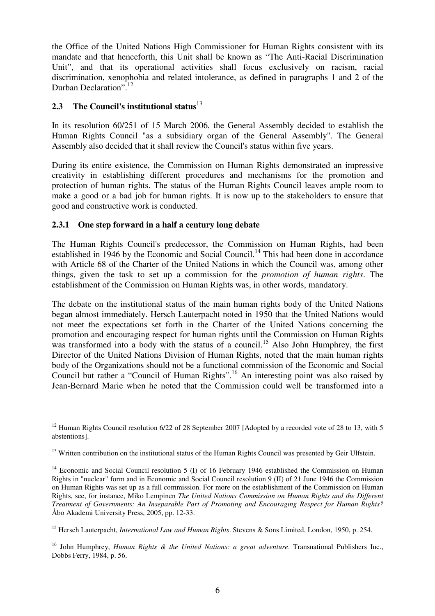the Office of the United Nations High Commissioner for Human Rights consistent with its mandate and that henceforth, this Unit shall be known as "The Anti-Racial Discrimination Unit", and that its operational activities shall focus exclusively on racism, racial discrimination, xenophobia and related intolerance, as defined in paragraphs 1 and 2 of the Durban Declaration".<sup>12</sup>

# **2.3 The Council's institutional status** 13

In its resolution 60/251 of 15 March 2006, the General Assembly decided to establish the Human Rights Council "as a subsidiary organ of the General Assembly". The General Assembly also decided that it shall review the Council's status within five years.

During its entire existence, the Commission on Human Rights demonstrated an impressive creativity in establishing different procedures and mechanisms for the promotion and protection of human rights. The status of the Human Rights Council leaves ample room to make a good or a bad job for human rights. It is now up to the stakeholders to ensure that good and constructive work is conducted.

### **2.3.1 One step forward in a half a century long debate**

The Human Rights Council's predecessor, the Commission on Human Rights, had been established in 1946 by the Economic and Social Council.<sup>14</sup> This had been done in accordance with Article 68 of the Charter of the United Nations in which the Council was, among other things, given the task to set up a commission for the *promotion of human rights*. The establishment of the Commission on Human Rights was, in other words, mandatory.

The debate on the institutional status of the main human rights body of the United Nations began almost immediately. Hersch Lauterpacht noted in 1950 that the United Nations would not meet the expectations set forth in the Charter of the United Nations concerning the promotion and encouraging respect for human rights until the Commission on Human Rights was transformed into a body with the status of a council.<sup>15</sup> Also John Humphrey, the first Director of the United Nations Division of Human Rights, noted that the main human rights body of the Organizations should not be a functional commission of the Economic and Social Council but rather a "Council of Human Rights". <sup>16</sup> An interesting point was also raised by Jean-Bernard Marie when he noted that the Commission could well be transformed into a

<sup>&</sup>lt;sup>12</sup> Human Rights Council resolution 6/22 of 28 September 2007 [Adopted by a recorded vote of 28 to 13, with 5 abstentions].

<sup>&</sup>lt;sup>13</sup> Written contribution on the institutional status of the Human Rights Council was presented by Geir Ulfstein.

<sup>&</sup>lt;sup>14</sup> Economic and Social Council resolution 5 (I) of 16 February 1946 established the Commission on Human Rights in "nuclear" form and in Economic and Social Council resolution 9 (II) of 21 June 1946 the Commission on Human Rights was set up as a full commission. For more on the establishment of the Commission on Human Rights, see, for instance, Miko Lempinen *The United Nations Commission on Human Rights and the Different Treatment of Governments: An Inseparable Part of Promoting and Encouraging Respect for Human Rights?* Åbo Akademi University Press, 2005, pp. 12-33.

<sup>15</sup> Hersch Lauterpacht, *International Law and Human Rights*. Stevens & Sons Limited, London, 1950, p. 254.

<sup>16</sup> John Humphrey, *Human Rights & the United Nations: a great adventure*. Transnational Publishers Inc., Dobbs Ferry, 1984, p. 56.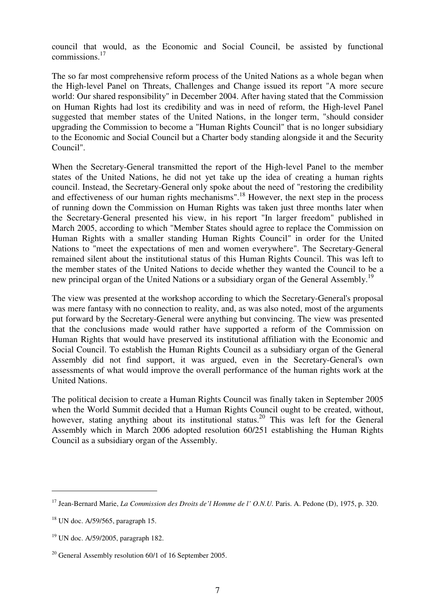council that would, as the Economic and Social Council, be assisted by functional commissions. 17

The so far most comprehensive reform process of the United Nations as a whole began when the High-level Panel on Threats, Challenges and Change issued its report "A more secure world: Our shared responsibility" in December 2004. After having stated that the Commission on Human Rights had lost its credibility and was in need of reform, the High-level Panel suggested that member states of the United Nations, in the longer term, "should consider upgrading the Commission to become a "Human Rights Council" that is no longer subsidiary to the Economic and Social Council but a Charter body standing alongside it and the Security Council".

When the Secretary-General transmitted the report of the High-level Panel to the member states of the United Nations, he did not yet take up the idea of creating a human rights council. Instead, the Secretary-General only spoke about the need of "restoring the credibility and effectiveness of our human rights mechanisms".<sup>18</sup> However, the next step in the process of running down the Commission on Human Rights was taken just three months later when the Secretary-General presented his view, in his report "In larger freedom" published in March 2005, according to which "Member States should agree to replace the Commission on Human Rights with a smaller standing Human Rights Council" in order for the United Nations to "meet the expectations of men and women everywhere". The Secretary-General remained silent about the institutional status of this Human Rights Council. This was left to the member states of the United Nations to decide whether they wanted the Council to be a new principal organ of the United Nations or a subsidiary organ of the General Assembly.<sup>19</sup>

The view was presented at the workshop according to which the Secretary-General's proposal was mere fantasy with no connection to reality, and, as was also noted, most of the arguments put forward by the Secretary-General were anything but convincing. The view was presented that the conclusions made would rather have supported a reform of the Commission on Human Rights that would have preserved its institutional affiliation with the Economic and Social Council. To establish the Human Rights Council as a subsidiary organ of the General Assembly did not find support, it was argued, even in the Secretary-General's own assessments of what would improve the overall performance of the human rights work at the United Nations.

The political decision to create a Human Rights Council was finally taken in September 2005 when the World Summit decided that a Human Rights Council ought to be created, without, however, stating anything about its institutional status.<sup>20</sup> This was left for the General Assembly which in March 2006 adopted resolution 60/251 establishing the Human Rights Council as a subsidiary organ of the Assembly.

<sup>17</sup> Jean-Bernard Marie, *La Commission des Droits de'l Homme de l' O.N.U.* Paris. A. Pedone (D), 1975, p. 320.

<sup>18</sup> UN doc. A/59/565, paragraph 15.

<sup>19</sup> UN doc. A/59/2005, paragraph 182.

 $20$  General Assembly resolution 60/1 of 16 September 2005.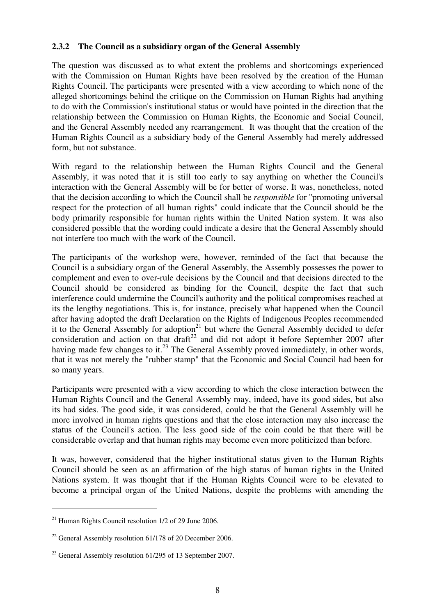### **2.3.2 The Council as a subsidiary organ of the General Assembly**

The question was discussed as to what extent the problems and shortcomings experienced with the Commission on Human Rights have been resolved by the creation of the Human Rights Council. The participants were presented with a view according to which none of the alleged shortcomings behind the critique on the Commission on Human Rights had anything to do with the Commission's institutional status or would have pointed in the direction that the relationship between the Commission on Human Rights, the Economic and Social Council, and the General Assembly needed any rearrangement. It was thought that the creation of the Human Rights Council as a subsidiary body of the General Assembly had merely addressed form, but not substance.

With regard to the relationship between the Human Rights Council and the General Assembly, it was noted that it is still too early to say anything on whether the Council's interaction with the General Assembly will be for better of worse. It was, nonetheless, noted that the decision according to which the Council shall be *responsible* for "promoting universal respect for the protection of all human rights" could indicate that the Council should be the body primarily responsible for human rights within the United Nation system. It was also considered possible that the wording could indicate a desire that the General Assembly should not interfere too much with the work of the Council.

The participants of the workshop were, however, reminded of the fact that because the Council is a subsidiary organ of the General Assembly, the Assembly possesses the power to complement and even to over-rule decisions by the Council and that decisions directed to the Council should be considered as binding for the Council, despite the fact that such interference could undermine the Council's authority and the political compromises reached at its the lengthy negotiations. This is, for instance, precisely what happened when the Council after having adopted the draft Declaration on the Rights of Indigenous Peoples recommended it to the General Assembly for adoption<sup>21</sup> but where the General Assembly decided to defer consideration and action on that draft $22$  and did not adopt it before September 2007 after having made few changes to it.<sup>23</sup> The General Assembly proved immediately, in other words, that it was not merely the "rubber stamp" that the Economic and Social Council had been for so many years.

Participants were presented with a view according to which the close interaction between the Human Rights Council and the General Assembly may, indeed, have its good sides, but also its bad sides. The good side, it was considered, could be that the General Assembly will be more involved in human rights questions and that the close interaction may also increase the status of the Council's action. The less good side of the coin could be that there will be considerable overlap and that human rights may become even more politicized than before.

It was, however, considered that the higher institutional status given to the Human Rights Council should be seen as an affirmation of the high status of human rights in the United Nations system. It was thought that if the Human Rights Council were to be elevated to become a principal organ of the United Nations, despite the problems with amending the

<sup>&</sup>lt;sup>21</sup> Human Rights Council resolution  $1/2$  of 29 June 2006.

<sup>&</sup>lt;sup>22</sup> General Assembly resolution 61/178 of 20 December 2006.

<sup>&</sup>lt;sup>23</sup> General Assembly resolution 61/295 of 13 September 2007.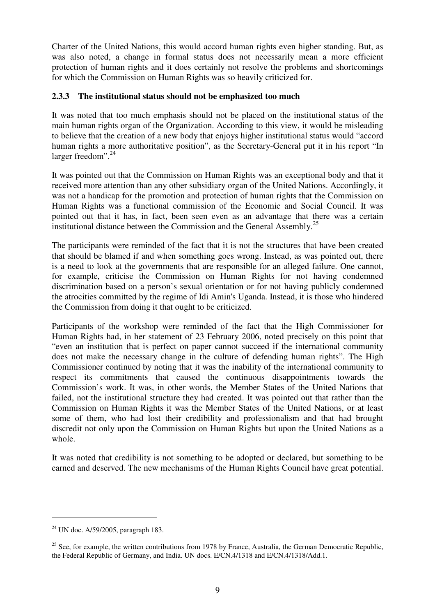Charter of the United Nations, this would accord human rights even higher standing. But, as was also noted, a change in formal status does not necessarily mean a more efficient protection of human rights and it does certainly not resolve the problems and shortcomings for which the Commission on Human Rights was so heavily criticized for.

### **2.3.3 The institutional status should not be emphasized too much**

It was noted that too much emphasis should not be placed on the institutional status of the main human rights organ of the Organization. According to this view, it would be misleading to believe that the creation of a new body that enjoys higher institutional status would "accord human rights a more authoritative position", as the Secretary-General put it in his report "In larger freedom". 24

It was pointed out that the Commission on Human Rights was an exceptional body and that it received more attention than any other subsidiary organ of the United Nations. Accordingly, it was not a handicap for the promotion and protection of human rights that the Commission on Human Rights was a functional commission of the Economic and Social Council. It was pointed out that it has, in fact, been seen even as an advantage that there was a certain institutional distance between the Commission and the General Assembly.<sup>25</sup>

The participants were reminded of the fact that it is not the structures that have been created that should be blamed if and when something goes wrong. Instead, as was pointed out, there is a need to look at the governments that are responsible for an alleged failure. One cannot, for example, criticise the Commission on Human Rights for not having condemned discrimination based on a person's sexual orientation or for not having publicly condemned the atrocities committed by the regime of Idi Amin's Uganda. Instead, it is those who hindered the Commission from doing it that ought to be criticized.

Participants of the workshop were reminded of the fact that the High Commissioner for Human Rights had, in her statement of 23 February 2006, noted precisely on this point that "even an institution that is perfect on paper cannot succeed if the international community does not make the necessary change in the culture of defending human rights". The High Commissioner continued by noting that it was the inability of the international community to respect its commitments that caused the continuous disappointments towards the Commission's work. It was, in other words, the Member States of the United Nations that failed, not the institutional structure they had created. It was pointed out that rather than the Commission on Human Rights it was the Member States of the United Nations, or at least some of them, who had lost their credibility and professionalism and that had brought discredit not only upon the Commission on Human Rights but upon the United Nations as a whole.

It was noted that credibility is not something to be adopted or declared, but something to be earned and deserved. The new mechanisms of the Human Rights Council have great potential.

<sup>&</sup>lt;sup>24</sup> UN doc. A/59/2005, paragraph 183.

<sup>&</sup>lt;sup>25</sup> See, for example, the written contributions from 1978 by France, Australia, the German Democratic Republic, the Federal Republic of Germany, and India. UN docs. E/CN.4/1318 and E/CN.4/1318/Add.1.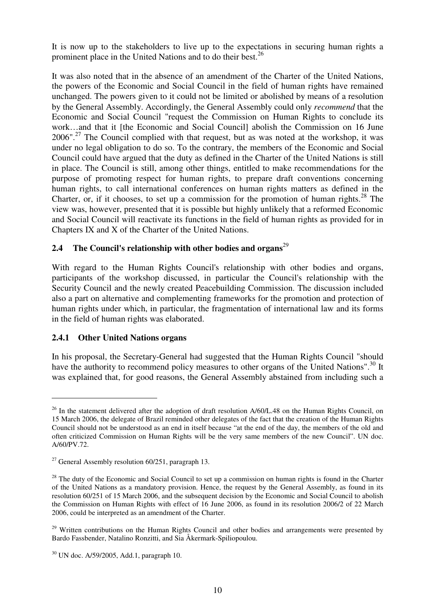It is now up to the stakeholders to live up to the expectations in securing human rights a prominent place in the United Nations and to do their best.<sup>26</sup>

It was also noted that in the absence of an amendment of the Charter of the United Nations, the powers of the Economic and Social Council in the field of human rights have remained unchanged. The powers given to it could not be limited or abolished by means of a resolution by the General Assembly. Accordingly, the General Assembly could only *recommend* that the Economic and Social Council "request the Commission on Human Rights to conclude its work…and that it [the Economic and Social Council] abolish the Commission on 16 June 2006".<sup>27</sup> The Council complied with that request, but as was noted at the workshop, it was under no legal obligation to do so. To the contrary, the members of the Economic and Social Council could have argued that the duty as defined in the Charter of the United Nations is still in place. The Council is still, among other things, entitled to make recommendations for the purpose of promoting respect for human rights, to prepare draft conventions concerning human rights, to call international conferences on human rights matters as defined in the Charter, or, if it chooses, to set up a commission for the promotion of human rights. $^{28}$  The view was, however, presented that it is possible but highly unlikely that a reformed Economic and Social Council will reactivate its functions in the field of human rights as provided for in Chapters IX and X of the Charter of the United Nations.

# **2.4 The Council's relationship with other bodies and organs** 29

With regard to the Human Rights Council's relationship with other bodies and organs, participants of the workshop discussed, in particular the Council's relationship with the Security Council and the newly created Peacebuilding Commission. The discussion included also a part on alternative and complementing frameworks for the promotion and protection of human rights under which, in particular, the fragmentation of international law and its forms in the field of human rights was elaborated.

### **2.4.1 Other United Nations organs**

In his proposal, the Secretary-General had suggested that the Human Rights Council "should have the authority to recommend policy measures to other organs of the United Nations".<sup>30</sup> It was explained that, for good reasons, the General Assembly abstained from including such a

<sup>&</sup>lt;sup>26</sup> In the statement delivered after the adoption of draft resolution A/60/L.48 on the Human Rights Council, on 15 March 2006, the delegate of Brazil reminded other delegates of the fact that the creation of the Human Rights Council should not be understood as an end in itself because "at the end of the day, the members of the old and often criticized Commission on Human Rights will be the very same members of the new Council". UN doc. A/60/PV.72.

<sup>&</sup>lt;sup>27</sup> General Assembly resolution  $60/251$ , paragraph 13.

<sup>&</sup>lt;sup>28</sup> The duty of the Economic and Social Council to set up a commission on human rights is found in the Charter of the United Nations as a mandatory provision. Hence, the request by the General Assembly, as found in its resolution 60/251 of 15 March 2006, and the subsequent decision by the Economic and Social Council to abolish the Commission on Human Rights with effect of 16 June 2006, as found in its resolution 2006/2 of 22 March 2006, could be interpreted as an amendment of the Charter.

 $29$  Written contributions on the Human Rights Council and other bodies and arrangements were presented by Bardo Fassbender, Natalino Ronzitti, and Sia Åkermark-Spiliopoulou.

<sup>30</sup> UN doc. A/59/2005, Add.1, paragraph 10.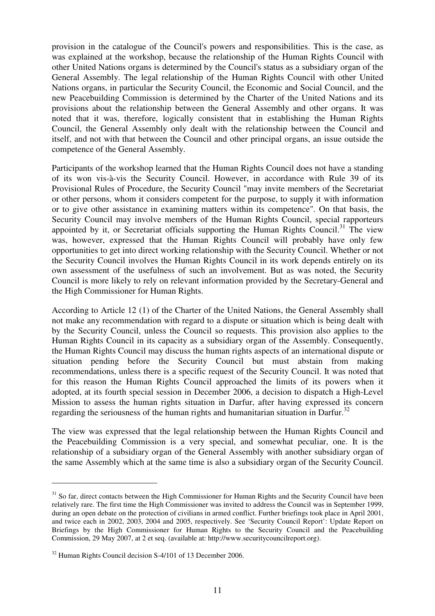provision in the catalogue of the Council's powers and responsibilities. This is the case, as was explained at the workshop, because the relationship of the Human Rights Council with other United Nations organs is determined by the Council's status as a subsidiary organ of the General Assembly. The legal relationship of the Human Rights Council with other United Nations organs, in particular the Security Council, the Economic and Social Council, and the new Peacebuilding Commission is determined by the Charter of the United Nations and its provisions about the relationship between the General Assembly and other organs. It was noted that it was, therefore, logically consistent that in establishing the Human Rights Council, the General Assembly only dealt with the relationship between the Council and itself, and not with that between the Council and other principal organs, an issue outside the competence of the General Assembly.

Participants of the workshop learned that the Human Rights Council does not have a standing of its won vis-à-vis the Security Council. However, in accordance with Rule 39 of its Provisional Rules of Procedure, the Security Council "may invite members of the Secretariat or other persons, whom it considers competent for the purpose, to supply it with information or to give other assistance in examining matters within its competence". On that basis, the Security Council may involve members of the Human Rights Council, special rapporteurs appointed by it, or Secretariat officials supporting the Human Rights Council.<sup>31</sup> The view was, however, expressed that the Human Rights Council will probably have only few opportunities to get into direct working relationship with the Security Council. Whether or not the Security Council involves the Human Rights Council in its work depends entirely on its own assessment of the usefulness of such an involvement. But as was noted, the Security Council is more likely to rely on relevant information provided by the Secretary-General and the High Commissioner for Human Rights.

According to Article 12 (1) of the Charter of the United Nations, the General Assembly shall not make any recommendation with regard to a dispute or situation which is being dealt with by the Security Council, unless the Council so requests. This provision also applies to the Human Rights Council in its capacity as a subsidiary organ of the Assembly. Consequently, the Human Rights Council may discuss the human rights aspects of an international dispute or situation pending before the Security Council but must abstain from making recommendations, unless there is a specific request of the Security Council. It was noted that for this reason the Human Rights Council approached the limits of its powers when it adopted, at its fourth special session in December 2006, a decision to dispatch a High-Level Mission to assess the human rights situation in Darfur, after having expressed its concern regarding the seriousness of the human rights and humanitarian situation in Darfur.<sup>32</sup>

The view was expressed that the legal relationship between the Human Rights Council and the Peacebuilding Commission is a very special, and somewhat peculiar, one. It is the relationship of a subsidiary organ of the General Assembly with another subsidiary organ of the same Assembly which at the same time is also a subsidiary organ of the Security Council.

<sup>&</sup>lt;sup>31</sup> So far, direct contacts between the High Commissioner for Human Rights and the Security Council have been relatively rare. The first time the High Commissioner was invited to address the Council was in September 1999, during an open debate on the protection of civilians in armed conflict. Further briefings took place in April 2001, and twice each in 2002, 2003, 2004 and 2005, respectively. See 'Security Council Report': Update Report on Briefings by the High Commissioner for Human Rights to the Security Council and the Peacebuilding Commission, 29 May 2007, at 2 et seq. (available at: http://www.securitycouncilreport.org).

<sup>&</sup>lt;sup>32</sup> Human Rights Council decision S-4/101 of 13 December 2006.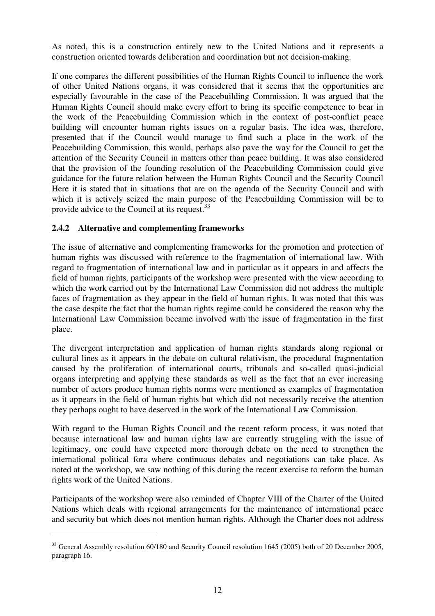As noted, this is a construction entirely new to the United Nations and it represents a construction oriented towards deliberation and coordination but not decision-making.

If one compares the different possibilities of the Human Rights Council to influence the work of other United Nations organs, it was considered that it seems that the opportunities are especially favourable in the case of the Peacebuilding Commission. It was argued that the Human Rights Council should make every effort to bring its specific competence to bear in the work of the Peacebuilding Commission which in the context of post-conflict peace building will encounter human rights issues on a regular basis. The idea was, therefore, presented that if the Council would manage to find such a place in the work of the Peacebuilding Commission, this would, perhaps also pave the way for the Council to get the attention of the Security Council in matters other than peace building. It was also considered that the provision of the founding resolution of the Peacebuilding Commission could give guidance for the future relation between the Human Rights Council and the Security Council Here it is stated that in situations that are on the agenda of the Security Council and with which it is actively seized the main purpose of the Peacebuilding Commission will be to provide advice to the Council at its request.<sup>33</sup>

### **2.4.2 Alternative and complementing frameworks**

The issue of alternative and complementing frameworks for the promotion and protection of human rights was discussed with reference to the fragmentation of international law. With regard to fragmentation of international law and in particular as it appears in and affects the field of human rights, participants of the workshop were presented with the view according to which the work carried out by the International Law Commission did not address the multiple faces of fragmentation as they appear in the field of human rights. It was noted that this was the case despite the fact that the human rights regime could be considered the reason why the International Law Commission became involved with the issue of fragmentation in the first place.

The divergent interpretation and application of human rights standards along regional or cultural lines as it appears in the debate on cultural relativism, the procedural fragmentation caused by the proliferation of international courts, tribunals and so-called quasi-judicial organs interpreting and applying these standards as well as the fact that an ever increasing number of actors produce human rights norms were mentioned as examples of fragmentation as it appears in the field of human rights but which did not necessarily receive the attention they perhaps ought to have deserved in the work of the International Law Commission.

With regard to the Human Rights Council and the recent reform process, it was noted that because international law and human rights law are currently struggling with the issue of legitimacy, one could have expected more thorough debate on the need to strengthen the international political fora where continuous debates and negotiations can take place. As noted at the workshop, we saw nothing of this during the recent exercise to reform the human rights work of the United Nations.

Participants of the workshop were also reminded of Chapter VIII of the Charter of the United Nations which deals with regional arrangements for the maintenance of international peace and security but which does not mention human rights. Although the Charter does not address

<sup>&</sup>lt;sup>33</sup> General Assembly resolution 60/180 and Security Council resolution 1645 (2005) both of 20 December 2005, paragraph 16.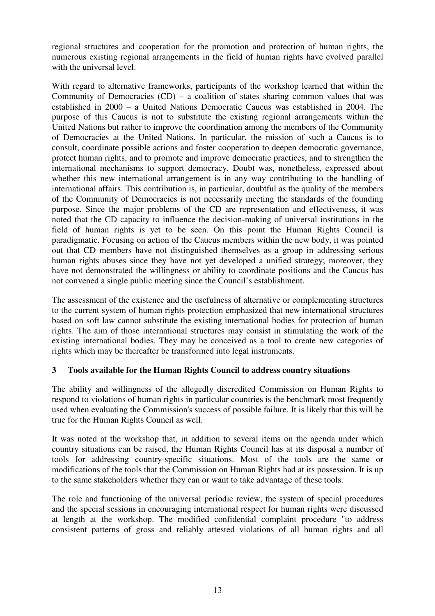regional structures and cooperation for the promotion and protection of human rights, the numerous existing regional arrangements in the field of human rights have evolved parallel with the universal level.

With regard to alternative frameworks, participants of the workshop learned that within the Community of Democracies  $(CD)$  – a coalition of states sharing common values that was established in 2000 – a United Nations Democratic Caucus was established in 2004. The purpose of this Caucus is not to substitute the existing regional arrangements within the United Nations but rather to improve the coordination among the members of the Community of Democracies at the United Nations. In particular, the mission of such a Caucus is to consult, coordinate possible actions and foster cooperation to deepen democratic governance, protect human rights, and to promote and improve democratic practices, and to strengthen the international mechanisms to support democracy. Doubt was, nonetheless, expressed about whether this new international arrangement is in any way contributing to the handling of international affairs. This contribution is, in particular, doubtful as the quality of the members of the Community of Democracies is not necessarily meeting the standards of the founding purpose. Since the major problems of the CD are representation and effectiveness, it was noted that the CD capacity to influence the decision-making of universal institutions in the field of human rights is yet to be seen. On this point the Human Rights Council is paradigmatic. Focusing on action of the Caucus members within the new body, it was pointed out that CD members have not distinguished themselves as a group in addressing serious human rights abuses since they have not yet developed a unified strategy; moreover, they have not demonstrated the willingness or ability to coordinate positions and the Caucus has not convened a single public meeting since the Council's establishment.

The assessment of the existence and the usefulness of alternative or complementing structures to the current system of human rights protection emphasized that new international structures based on soft law cannot substitute the existing international bodies for protection of human rights. The aim of those international structures may consist in stimulating the work of the existing international bodies. They may be conceived as a tool to create new categories of rights which may be thereafter be transformed into legal instruments.

### **3 Tools available for the Human Rights Council to address country situations**

The ability and willingness of the allegedly discredited Commission on Human Rights to respond to violations of human rights in particular countries is the benchmark most frequently used when evaluating the Commission's success of possible failure. It is likely that this will be true for the Human Rights Council as well.

It was noted at the workshop that, in addition to several items on the agenda under which country situations can be raised, the Human Rights Council has at its disposal a number of tools for addressing country-specific situations. Most of the tools are the same or modifications of the tools that the Commission on Human Rights had at its possession. It is up to the same stakeholders whether they can or want to take advantage of these tools.

The role and functioning of the universal periodic review, the system of special procedures and the special sessions in encouraging international respect for human rights were discussed at length at the workshop. The modified confidential complaint procedure "to address consistent patterns of gross and reliably attested violations of all human rights and all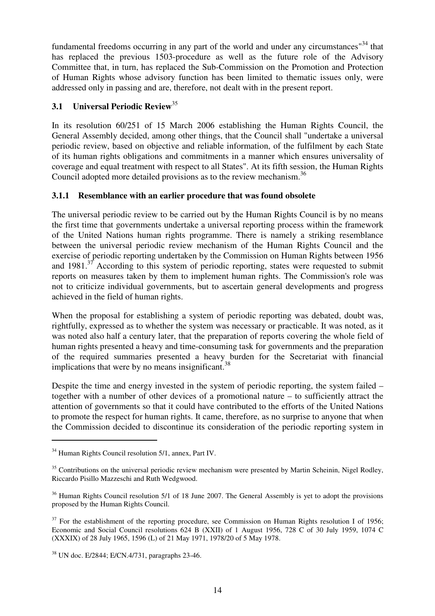fundamental freedoms occurring in any part of the world and under any circumstances<sup>"34</sup> that has replaced the previous 1503-procedure as well as the future role of the Advisory Committee that, in turn, has replaced the Sub-Commission on the Promotion and Protection of Human Rights whose advisory function has been limited to thematic issues only, were addressed only in passing and are, therefore, not dealt with in the present report.

# **3.1 Universal Periodic Review** 35

In its resolution 60/251 of 15 March 2006 establishing the Human Rights Council, the General Assembly decided, among other things, that the Council shall "undertake a universal periodic review, based on objective and reliable information, of the fulfilment by each State of its human rights obligations and commitments in a manner which ensures universality of coverage and equal treatment with respect to all States". At its fifth session, the Human Rights Council adopted more detailed provisions as to the review mechanism.<sup>36</sup>

### **3.1.1 Resemblance with an earlier procedure that was found obsolete**

The universal periodic review to be carried out by the Human Rights Council is by no means the first time that governments undertake a universal reporting process within the framework of the United Nations human rights programme. There is namely a striking resemblance between the universal periodic review mechanism of the Human Rights Council and the exercise of periodic reporting undertaken by the Commission on Human Rights between 1956 and  $1981$ .<sup>37</sup> According to this system of periodic reporting, states were requested to submit reports on measures taken by them to implement human rights. The Commission's role was not to criticize individual governments, but to ascertain general developments and progress achieved in the field of human rights.

When the proposal for establishing a system of periodic reporting was debated, doubt was, rightfully, expressed as to whether the system was necessary or practicable. It was noted, as it was noted also half a century later, that the preparation of reports covering the whole field of human rights presented a heavy and time-consuming task for governments and the preparation of the required summaries presented a heavy burden for the Secretariat with financial implications that were by no means insignificant.<sup>38</sup>

Despite the time and energy invested in the system of periodic reporting, the system failed – together with a number of other devices of a promotional nature – to sufficiently attract the attention of governments so that it could have contributed to the efforts of the United Nations to promote the respect for human rights. It came, therefore, as no surprise to anyone that when the Commission decided to discontinue its consideration of the periodic reporting system in

<sup>&</sup>lt;sup>34</sup> Human Rights Council resolution 5/1, annex, Part IV.

<sup>&</sup>lt;sup>35</sup> Contributions on the universal periodic review mechanism were presented by Martin Scheinin, Nigel Rodley, Riccardo Pisillo Mazzeschi and Ruth Wedgwood.

<sup>&</sup>lt;sup>36</sup> Human Rights Council resolution 5/1 of 18 June 2007. The General Assembly is yet to adopt the provisions proposed by the Human Rights Council.

 $37$  For the establishment of the reporting procedure, see Commission on Human Rights resolution I of 1956; Economic and Social Council resolutions 624 B (XXII) of 1 August 1956, 728 C of 30 July 1959, 1074 C (XXXIX) of 28 July 1965, 1596 (L) of 21 May 1971, 1978/20 of 5 May 1978.

<sup>38</sup> UN doc. E/2844; E/CN.4/731, paragraphs 23-46.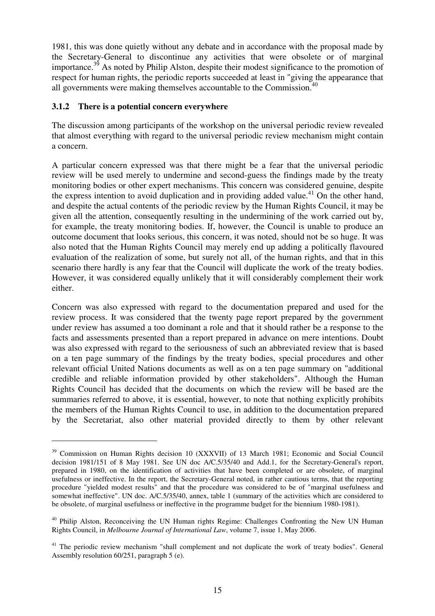1981, this was done quietly without any debate and in accordance with the proposal made by the Secretary-General to discontinue any activities that were obsolete or of marginal importance.<sup>39</sup> As noted by Philip Alston, despite their modest significance to the promotion of respect for human rights, the periodic reports succeeded at least in "giving the appearance that all governments were making themselves accountable to the Commission.<sup>40</sup>

#### **3.1.2 There is a potential concern everywhere**

The discussion among participants of the workshop on the universal periodic review revealed that almost everything with regard to the universal periodic review mechanism might contain a concern.

A particular concern expressed was that there might be a fear that the universal periodic review will be used merely to undermine and second-guess the findings made by the treaty monitoring bodies or other expert mechanisms. This concern was considered genuine, despite the express intention to avoid duplication and in providing added value.<sup>41</sup> On the other hand, and despite the actual contents of the periodic review by the Human Rights Council, it may be given all the attention, consequently resulting in the undermining of the work carried out by, for example, the treaty monitoring bodies. If, however, the Council is unable to produce an outcome document that looks serious, this concern, it was noted, should not be so huge. It was also noted that the Human Rights Council may merely end up adding a politically flavoured evaluation of the realization of some, but surely not all, of the human rights, and that in this scenario there hardly is any fear that the Council will duplicate the work of the treaty bodies. However, it was considered equally unlikely that it will considerably complement their work either.

Concern was also expressed with regard to the documentation prepared and used for the review process. It was considered that the twenty page report prepared by the government under review has assumed a too dominant a role and that it should rather be a response to the facts and assessments presented than a report prepared in advance on mere intentions. Doubt was also expressed with regard to the seriousness of such an abbreviated review that is based on a ten page summary of the findings by the treaty bodies, special procedures and other relevant official United Nations documents as well as on a ten page summary on "additional credible and reliable information provided by other stakeholders". Although the Human Rights Council has decided that the documents on which the review will be based are the summaries referred to above, it is essential, however, to note that nothing explicitly prohibits the members of the Human Rights Council to use, in addition to the documentation prepared by the Secretariat, also other material provided directly to them by other relevant

<sup>&</sup>lt;sup>39</sup> Commission on Human Rights decision 10 (XXXVII) of 13 March 1981; Economic and Social Council decision 1981/151 of 8 May 1981. See UN doc A/C.5/35/40 and Add.1, for the Secretary-General's report, prepared in 1980, on the identification of activities that have been completed or are obsolete, of marginal usefulness or ineffective. In the report, the Secretary-General noted, in rather cautious terms, that the reporting procedure "yielded modest results" and that the procedure was considered to be of "marginal usefulness and somewhat ineffective". UN doc. A/C.5/35/40, annex, table 1 (summary of the activities which are considered to be obsolete, of marginal usefulness or ineffective in the programme budget for the biennium 1980-1981).

<sup>&</sup>lt;sup>40</sup> Philip Alston, Reconceiving the UN Human rights Regime: Challenges Confronting the New UN Human Rights Council, in *Melbourne Journal of International Law*, volume 7, issue 1, May 2006.

<sup>&</sup>lt;sup>41</sup> The periodic review mechanism "shall complement and not duplicate the work of treaty bodies". General Assembly resolution 60/251, paragraph 5 (e).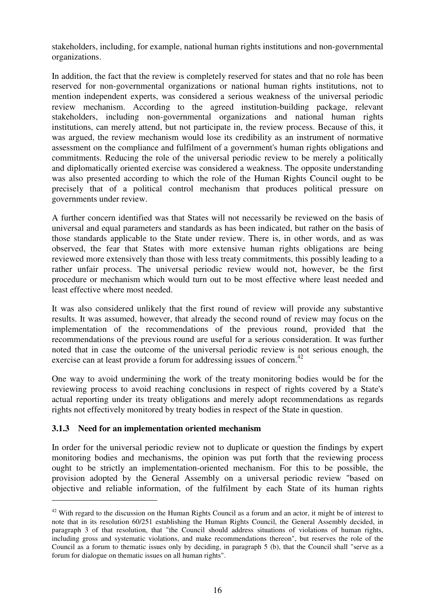stakeholders, including, for example, national human rights institutions and non-governmental organizations.

In addition, the fact that the review is completely reserved for states and that no role has been reserved for non-governmental organizations or national human rights institutions, not to mention independent experts, was considered a serious weakness of the universal periodic review mechanism. According to the agreed institution-building package, relevant stakeholders, including non-governmental organizations and national human rights institutions, can merely attend, but not participate in, the review process. Because of this, it was argued, the review mechanism would lose its credibility as an instrument of normative assessment on the compliance and fulfilment of a government's human rights obligations and commitments. Reducing the role of the universal periodic review to be merely a politically and diplomatically oriented exercise was considered a weakness. The opposite understanding was also presented according to which the role of the Human Rights Council ought to be precisely that of a political control mechanism that produces political pressure on governments under review.

A further concern identified was that States will not necessarily be reviewed on the basis of universal and equal parameters and standards as has been indicated, but rather on the basis of those standards applicable to the State under review. There is, in other words, and as was observed, the fear that States with more extensive human rights obligations are being reviewed more extensively than those with less treaty commitments, this possibly leading to a rather unfair process. The universal periodic review would not, however, be the first procedure or mechanism which would turn out to be most effective where least needed and least effective where most needed.

It was also considered unlikely that the first round of review will provide any substantive results. It was assumed, however, that already the second round of review may focus on the implementation of the recommendations of the previous round, provided that the recommendations of the previous round are useful for a serious consideration. It was further noted that in case the outcome of the universal periodic review is not serious enough, the exercise can at least provide a forum for addressing issues of concern.<sup>42</sup>

One way to avoid undermining the work of the treaty monitoring bodies would be for the reviewing process to avoid reaching conclusions in respect of rights covered by a State's actual reporting under its treaty obligations and merely adopt recommendations as regards rights not effectively monitored by treaty bodies in respect of the State in question.

### **3.1.3 Need for an implementation oriented mechanism**

In order for the universal periodic review not to duplicate or question the findings by expert monitoring bodies and mechanisms, the opinion was put forth that the reviewing process ought to be strictly an implementation-oriented mechanism. For this to be possible, the provision adopted by the General Assembly on a universal periodic review "based on objective and reliable information, of the fulfilment by each State of its human rights

 $42$  With regard to the discussion on the Human Rights Council as a forum and an actor, it might be of interest to note that in its resolution 60/251 establishing the Human Rights Council, the General Assembly decided, in paragraph 3 of that resolution, that "the Council should address situations of violations of human rights, including gross and systematic violations, and make recommendations thereon", but reserves the role of the Council as a forum to thematic issues only by deciding, in paragraph 5 (b), that the Council shall "serve as a forum for dialogue on thematic issues on all human rights".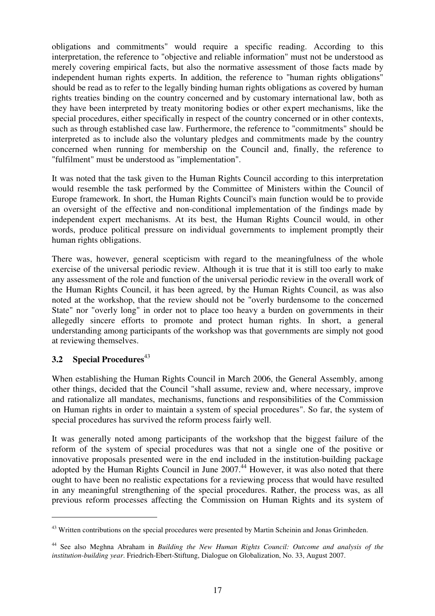obligations and commitments" would require a specific reading. According to this interpretation, the reference to "objective and reliable information" must not be understood as merely covering empirical facts, but also the normative assessment of those facts made by independent human rights experts. In addition, the reference to "human rights obligations" should be read as to refer to the legally binding human rights obligations as covered by human rights treaties binding on the country concerned and by customary international law, both as they have been interpreted by treaty monitoring bodies or other expert mechanisms, like the special procedures, either specifically in respect of the country concerned or in other contexts, such as through established case law. Furthermore, the reference to "commitments" should be interpreted as to include also the voluntary pledges and commitments made by the country concerned when running for membership on the Council and, finally, the reference to "fulfilment" must be understood as "implementation".

It was noted that the task given to the Human Rights Council according to this interpretation would resemble the task performed by the Committee of Ministers within the Council of Europe framework. In short, the Human Rights Council's main function would be to provide an oversight of the effective and non-conditional implementation of the findings made by independent expert mechanisms. At its best, the Human Rights Council would, in other words, produce political pressure on individual governments to implement promptly their human rights obligations.

There was, however, general scepticism with regard to the meaningfulness of the whole exercise of the universal periodic review. Although it is true that it is still too early to make any assessment of the role and function of the universal periodic review in the overall work of the Human Rights Council, it has been agreed, by the Human Rights Council, as was also noted at the workshop, that the review should not be "overly burdensome to the concerned State" nor "overly long" in order not to place too heavy a burden on governments in their allegedly sincere efforts to promote and protect human rights. In short, a general understanding among participants of the workshop was that governments are simply not good at reviewing themselves.

# **3.2 Special Procedures** 43

When establishing the Human Rights Council in March 2006, the General Assembly, among other things, decided that the Council "shall assume, review and, where necessary, improve and rationalize all mandates, mechanisms, functions and responsibilities of the Commission on Human rights in order to maintain a system of special procedures". So far, the system of special procedures has survived the reform process fairly well.

It was generally noted among participants of the workshop that the biggest failure of the reform of the system of special procedures was that not a single one of the positive or innovative proposals presented were in the end included in the institution-building package adopted by the Human Rights Council in June 2007. <sup>44</sup> However, it was also noted that there ought to have been no realistic expectations for a reviewing process that would have resulted in any meaningful strengthening of the special procedures. Rather, the process was, as all previous reform processes affecting the Commission on Human Rights and its system of

<sup>&</sup>lt;sup>43</sup> Written contributions on the special procedures were presented by Martin Scheinin and Jonas Grimheden.

<sup>44</sup> See also Meghna Abraham in *Building the New Human Rights Council: Outcome and analysis of the institution-building year*. Friedrich-Ebert-Stiftung, Dialogue on Globalization, No. 33, August 2007.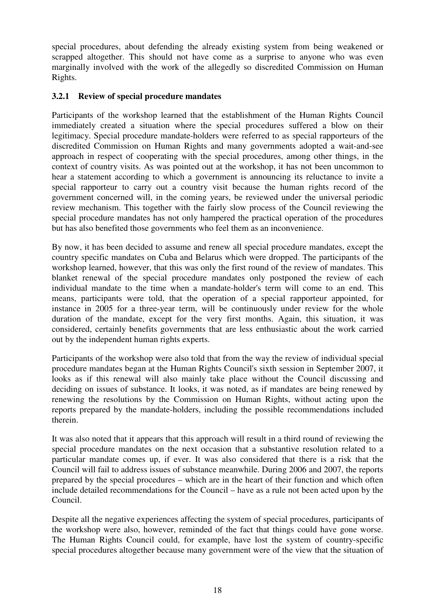special procedures, about defending the already existing system from being weakened or scrapped altogether. This should not have come as a surprise to anyone who was even marginally involved with the work of the allegedly so discredited Commission on Human Rights.

### **3.2.1 Review of special procedure mandates**

Participants of the workshop learned that the establishment of the Human Rights Council immediately created a situation where the special procedures suffered a blow on their legitimacy. Special procedure mandate-holders were referred to as special rapporteurs of the discredited Commission on Human Rights and many governments adopted a wait-and-see approach in respect of cooperating with the special procedures, among other things, in the context of country visits. As was pointed out at the workshop, it has not been uncommon to hear a statement according to which a government is announcing its reluctance to invite a special rapporteur to carry out a country visit because the human rights record of the government concerned will, in the coming years, be reviewed under the universal periodic review mechanism. This together with the fairly slow process of the Council reviewing the special procedure mandates has not only hampered the practical operation of the procedures but has also benefited those governments who feel them as an inconvenience.

By now, it has been decided to assume and renew all special procedure mandates, except the country specific mandates on Cuba and Belarus which were dropped. The participants of the workshop learned, however, that this was only the first round of the review of mandates. This blanket renewal of the special procedure mandates only postponed the review of each individual mandate to the time when a mandate-holder's term will come to an end. This means, participants were told, that the operation of a special rapporteur appointed, for instance in 2005 for a three-year term, will be continuously under review for the whole duration of the mandate, except for the very first months. Again, this situation, it was considered, certainly benefits governments that are less enthusiastic about the work carried out by the independent human rights experts.

Participants of the workshop were also told that from the way the review of individual special procedure mandates began at the Human Rights Council's sixth session in September 2007, it looks as if this renewal will also mainly take place without the Council discussing and deciding on issues of substance. It looks, it was noted, as if mandates are being renewed by renewing the resolutions by the Commission on Human Rights, without acting upon the reports prepared by the mandate-holders, including the possible recommendations included therein.

It was also noted that it appears that this approach will result in a third round of reviewing the special procedure mandates on the next occasion that a substantive resolution related to a particular mandate comes up, if ever. It was also considered that there is a risk that the Council will fail to address issues of substance meanwhile. During 2006 and 2007, the reports prepared by the special procedures – which are in the heart of their function and which often include detailed recommendations for the Council – have as a rule not been acted upon by the Council.

Despite all the negative experiences affecting the system of special procedures, participants of the workshop were also, however, reminded of the fact that things could have gone worse. The Human Rights Council could, for example, have lost the system of country-specific special procedures altogether because many government were of the view that the situation of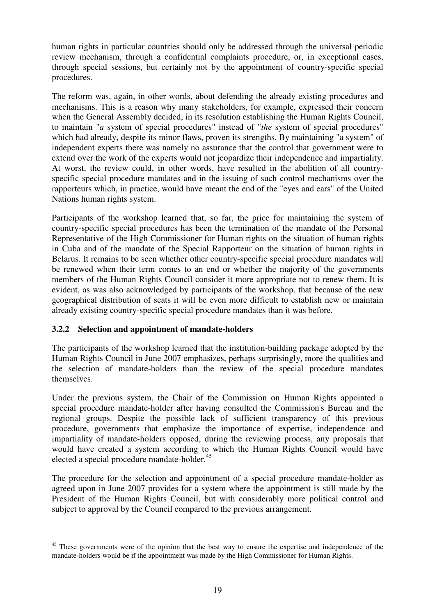human rights in particular countries should only be addressed through the universal periodic review mechanism, through a confidential complaints procedure, or, in exceptional cases, through special sessions, but certainly not by the appointment of country-specific special procedures.

The reform was, again, in other words, about defending the already existing procedures and mechanisms. This is a reason why many stakeholders, for example, expressed their concern when the General Assembly decided, in its resolution establishing the Human Rights Council, to maintain "*a* system of special procedures" instead of "*the* system of special procedures" which had already, despite its minor flaws, proven its strengths. By maintaining "a system" of independent experts there was namely no assurance that the control that government were to extend over the work of the experts would not jeopardize their independence and impartiality. At worst, the review could, in other words, have resulted in the abolition of all countryspecific special procedure mandates and in the issuing of such control mechanisms over the rapporteurs which, in practice, would have meant the end of the "eyes and ears" of the United Nations human rights system.

Participants of the workshop learned that, so far, the price for maintaining the system of country-specific special procedures has been the termination of the mandate of the Personal Representative of the High Commissioner for Human rights on the situation of human rights in Cuba and of the mandate of the Special Rapporteur on the situation of human rights in Belarus. It remains to be seen whether other country-specific special procedure mandates will be renewed when their term comes to an end or whether the majority of the governments members of the Human Rights Council consider it more appropriate not to renew them. It is evident, as was also acknowledged by participants of the workshop, that because of the new geographical distribution of seats it will be even more difficult to establish new or maintain already existing country-specific special procedure mandates than it was before.

### **3.2.2 Selection and appointment of mandate-holders**

The participants of the workshop learned that the institution-building package adopted by the Human Rights Council in June 2007 emphasizes, perhaps surprisingly, more the qualities and the selection of mandate-holders than the review of the special procedure mandates themselves.

Under the previous system, the Chair of the Commission on Human Rights appointed a special procedure mandate-holder after having consulted the Commission's Bureau and the regional groups. Despite the possible lack of sufficient transparency of this previous procedure, governments that emphasize the importance of expertise, independence and impartiality of mandate-holders opposed, during the reviewing process, any proposals that would have created a system according to which the Human Rights Council would have elected a special procedure mandate-holder. 45

The procedure for the selection and appointment of a special procedure mandate-holder as agreed upon in June 2007 provides for a system where the appointment is still made by the President of the Human Rights Council, but with considerably more political control and subject to approval by the Council compared to the previous arrangement.

<sup>&</sup>lt;sup>45</sup> These governments were of the opinion that the best way to ensure the expertise and independence of the mandate-holders would be if the appointment was made by the High Commissioner for Human Rights.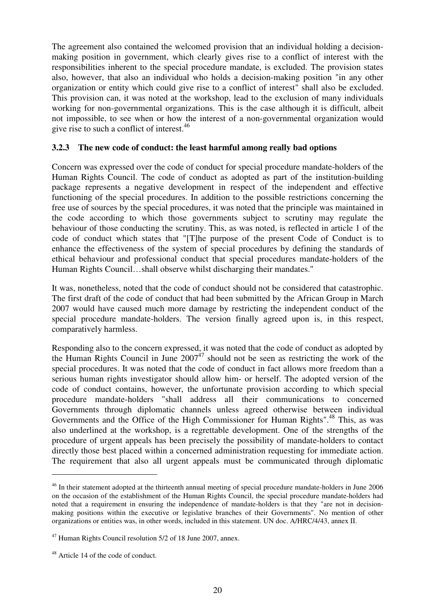The agreement also contained the welcomed provision that an individual holding a decisionmaking position in government, which clearly gives rise to a conflict of interest with the responsibilities inherent to the special procedure mandate, is excluded. The provision states also, however, that also an individual who holds a decision-making position "in any other organization or entity which could give rise to a conflict of interest" shall also be excluded. This provision can, it was noted at the workshop, lead to the exclusion of many individuals working for non-governmental organizations. This is the case although it is difficult, albeit not impossible, to see when or how the interest of a non-governmental organization would give rise to such a conflict of interest.<sup>46</sup>

#### **3.2.3 The new code of conduct: the least harmful among really bad options**

Concern was expressed over the code of conduct for special procedure mandate-holders of the Human Rights Council. The code of conduct as adopted as part of the institution-building package represents a negative development in respect of the independent and effective functioning of the special procedures. In addition to the possible restrictions concerning the free use of sources by the special procedures, it was noted that the principle was maintained in the code according to which those governments subject to scrutiny may regulate the behaviour of those conducting the scrutiny. This, as was noted, is reflected in article 1 of the code of conduct which states that "[T]he purpose of the present Code of Conduct is to enhance the effectiveness of the system of special procedures by defining the standards of ethical behaviour and professional conduct that special procedures mandate-holders of the Human Rights Council…shall observe whilst discharging their mandates."

It was, nonetheless, noted that the code of conduct should not be considered that catastrophic. The first draft of the code of conduct that had been submitted by the African Group in March 2007 would have caused much more damage by restricting the independent conduct of the special procedure mandate-holders. The version finally agreed upon is, in this respect, comparatively harmless.

Responding also to the concern expressed, it was noted that the code of conduct as adopted by the Human Rights Council in June  $2007<sup>47</sup>$  should not be seen as restricting the work of the special procedures. It was noted that the code of conduct in fact allows more freedom than a serious human rights investigator should allow him- or herself. The adopted version of the code of conduct contains, however, the unfortunate provision according to which special procedure mandate-holders "shall address all their communications to concerned Governments through diplomatic channels unless agreed otherwise between individual Governments and the Office of the High Commissioner for Human Rights".<sup>48</sup> This, as was also underlined at the workshop, is a regrettable development. One of the strengths of the procedure of urgent appeals has been precisely the possibility of mandate-holders to contact directly those best placed within a concerned administration requesting for immediate action. The requirement that also all urgent appeals must be communicated through diplomatic

<sup>&</sup>lt;sup>46</sup> In their statement adopted at the thirteenth annual meeting of special procedure mandate-holders in June 2006 on the occasion of the establishment of the Human Rights Council, the special procedure mandate-holders had noted that a requirement in ensuring the independence of mandate-holders is that they "are not in decisionmaking positions within the executive or legislative branches of their Governments". No mention of other organizations or entities was, in other words, included in this statement. UN doc. A/HRC/4/43, annex II.

<sup>47</sup> Human Rights Council resolution 5/2 of 18 June 2007, annex.

<sup>&</sup>lt;sup>48</sup> Article 14 of the code of conduct.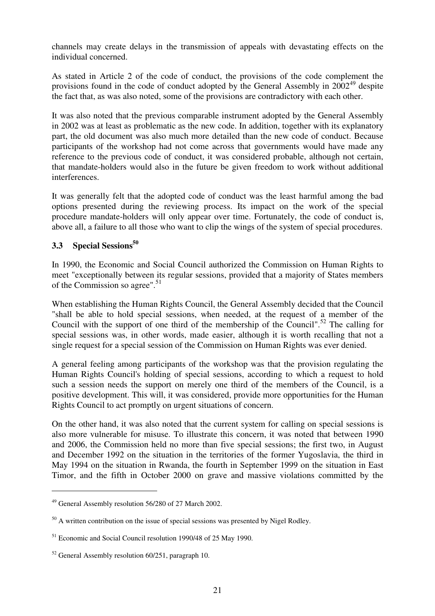channels may create delays in the transmission of appeals with devastating effects on the individual concerned.

As stated in Article 2 of the code of conduct, the provisions of the code complement the provisions found in the code of conduct adopted by the General Assembly in 2002<sup>49</sup> despite the fact that, as was also noted, some of the provisions are contradictory with each other.

It was also noted that the previous comparable instrument adopted by the General Assembly in 2002 was at least as problematic as the new code. In addition, together with its explanatory part, the old document was also much more detailed than the new code of conduct. Because participants of the workshop had not come across that governments would have made any reference to the previous code of conduct, it was considered probable, although not certain, that mandate-holders would also in the future be given freedom to work without additional interferences.

It was generally felt that the adopted code of conduct was the least harmful among the bad options presented during the reviewing process. Its impact on the work of the special procedure mandate-holders will only appear over time. Fortunately, the code of conduct is, above all, a failure to all those who want to clip the wings of the system of special procedures.

# **3.3 Special Sessions 50**

In 1990, the Economic and Social Council authorized the Commission on Human Rights to meet "exceptionally between its regular sessions, provided that a majority of States members of the Commission so agree". 51

When establishing the Human Rights Council, the General Assembly decided that the Council "shall be able to hold special sessions, when needed, at the request of a member of the Council with the support of one third of the membership of the Council".<sup>52</sup> The calling for special sessions was, in other words, made easier, although it is worth recalling that not a single request for a special session of the Commission on Human Rights was ever denied.

A general feeling among participants of the workshop was that the provision regulating the Human Rights Council's holding of special sessions, according to which a request to hold such a session needs the support on merely one third of the members of the Council, is a positive development. This will, it was considered, provide more opportunities for the Human Rights Council to act promptly on urgent situations of concern.

On the other hand, it was also noted that the current system for calling on special sessions is also more vulnerable for misuse. To illustrate this concern, it was noted that between 1990 and 2006, the Commission held no more than five special sessions; the first two, in August and December 1992 on the situation in the territories of the former Yugoslavia, the third in May 1994 on the situation in Rwanda, the fourth in September 1999 on the situation in East Timor, and the fifth in October 2000 on grave and massive violations committed by the

<sup>49</sup> General Assembly resolution 56/280 of 27 March 2002.

 $50$  A written contribution on the issue of special sessions was presented by Nigel Rodley.

<sup>51</sup> Economic and Social Council resolution 1990/48 of 25 May 1990.

<sup>52</sup> General Assembly resolution 60/251, paragraph 10.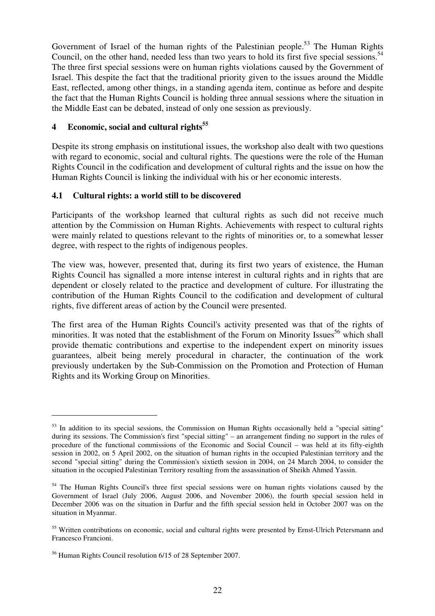Government of Israel of the human rights of the Palestinian people.<sup>53</sup> The Human Rights Council, on the other hand, needed less than two years to hold its first five special sessions.<sup>54</sup> The three first special sessions were on human rights violations caused by the Government of Israel. This despite the fact that the traditional priority given to the issues around the Middle East, reflected, among other things, in a standing agenda item, continue as before and despite the fact that the Human Rights Council is holding three annual sessions where the situation in the Middle East can be debated, instead of only one session as previously.

# **4 Economic, social and cultural rights 55**

Despite its strong emphasis on institutional issues, the workshop also dealt with two questions with regard to economic, social and cultural rights. The questions were the role of the Human Rights Council in the codification and development of cultural rights and the issue on how the Human Rights Council is linking the individual with his or her economic interests.

### **4.1 Cultural rights: a world still to be discovered**

Participants of the workshop learned that cultural rights as such did not receive much attention by the Commission on Human Rights. Achievements with respect to cultural rights were mainly related to questions relevant to the rights of minorities or, to a somewhat lesser degree, with respect to the rights of indigenous peoples.

The view was, however, presented that, during its first two years of existence, the Human Rights Council has signalled a more intense interest in cultural rights and in rights that are dependent or closely related to the practice and development of culture. For illustrating the contribution of the Human Rights Council to the codification and development of cultural rights, five different areas of action by the Council were presented.

The first area of the Human Rights Council's activity presented was that of the rights of minorities. It was noted that the establishment of the Forum on Minority Issues<sup>56</sup> which shall provide thematic contributions and expertise to the independent expert on minority issues guarantees, albeit being merely procedural in character, the continuation of the work previously undertaken by the Sub-Commission on the Promotion and Protection of Human Rights and its Working Group on Minorities.

<sup>&</sup>lt;sup>53</sup> In addition to its special sessions, the Commission on Human Rights occasionally held a "special sitting" during its sessions. The Commission's first "special sitting" – an arrangement finding no support in the rules of procedure of the functional commissions of the Economic and Social Council – was held at its fifty-eighth session in 2002, on 5 April 2002, on the situation of human rights in the occupied Palestinian territory and the second "special sitting" during the Commission's sixtieth session in 2004, on 24 March 2004, to consider the situation in the occupied Palestinian Territory resulting from the assassination of Sheikh Ahmed Yassin.

<sup>54</sup> The Human Rights Council's three first special sessions were on human rights violations caused by the Government of Israel (July 2006, August 2006, and November 2006), the fourth special session held in December 2006 was on the situation in Darfur and the fifth special session held in October 2007 was on the situation in Myanmar.

<sup>&</sup>lt;sup>55</sup> Written contributions on economic, social and cultural rights were presented by Ernst-Ulrich Petersmann and Francesco Francioni.

<sup>56</sup> Human Rights Council resolution 6/15 of 28 September 2007.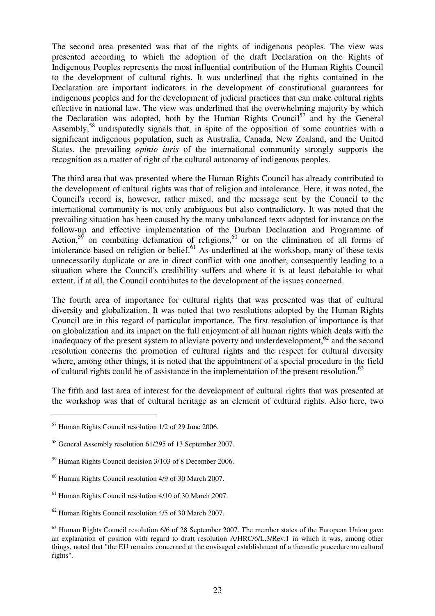The second area presented was that of the rights of indigenous peoples. The view was presented according to which the adoption of the draft Declaration on the Rights of Indigenous Peoples represents the most influential contribution of the Human Rights Council to the development of cultural rights. It was underlined that the rights contained in the Declaration are important indicators in the development of constitutional guarantees for indigenous peoples and for the development of judicial practices that can make cultural rights effective in national law. The view was underlined that the overwhelming majority by which the Declaration was adopted, both by the Human Rights Council<sup>57</sup> and by the General Assembly,<sup>58</sup> undisputedly signals that, in spite of the opposition of some countries with a significant indigenous population, such as Australia, Canada, New Zealand, and the United States, the prevailing *opinio iuris* of the international community strongly supports the recognition as a matter of right of the cultural autonomy of indigenous peoples.

The third area that was presented where the Human Rights Council has already contributed to the development of cultural rights was that of religion and intolerance. Here, it was noted, the Council's record is, however, rather mixed, and the message sent by the Council to the international community is not only ambiguous but also contradictory. It was noted that the prevailing situation has been caused by the many unbalanced texts adopted for instance on the follow-up and effective implementation of the Durban Declaration and Programme of Action,<sup>59</sup> on combating defamation of religions,<sup>60</sup> or on the elimination of all forms of intolerance based on religion or belief.<sup>61</sup> As underlined at the workshop, many of these texts unnecessarily duplicate or are in direct conflict with one another, consequently leading to a situation where the Council's credibility suffers and where it is at least debatable to what extent, if at all, the Council contributes to the development of the issues concerned.

The fourth area of importance for cultural rights that was presented was that of cultural diversity and globalization. It was noted that two resolutions adopted by the Human Rights Council are in this regard of particular importance. The first resolution of importance is that on globalization and its impact on the full enjoyment of all human rights which deals with the inadequacy of the present system to alleviate poverty and underdevelopment,<sup>62</sup> and the second resolution concerns the promotion of cultural rights and the respect for cultural diversity where, among other things, it is noted that the appointment of a special procedure in the field of cultural rights could be of assistance in the implementation of the present resolution.<sup>63</sup>

The fifth and last area of interest for the development of cultural rights that was presented at the workshop was that of cultural heritage as an element of cultural rights. Also here, two

<sup>57</sup> Human Rights Council resolution 1/2 of 29 June 2006.

<sup>&</sup>lt;sup>58</sup> General Assembly resolution 61/295 of 13 September 2007.

<sup>59</sup> Human Rights Council decision 3/103 of 8 December 2006.

 $60$  Human Rights Council resolution 4/9 of 30 March 2007.

 $<sup>61</sup>$  Human Rights Council resolution 4/10 of 30 March 2007.</sup>

<sup>62</sup> Human Rights Council resolution 4/5 of 30 March 2007.

<sup>&</sup>lt;sup>63</sup> Human Rights Council resolution 6/6 of 28 September 2007. The member states of the European Union gave an explanation of position with regard to draft resolution A/HRC/6/L.3/Rev.1 in which it was, among other things, noted that "the EU remains concerned at the envisaged establishment of a thematic procedure on cultural rights".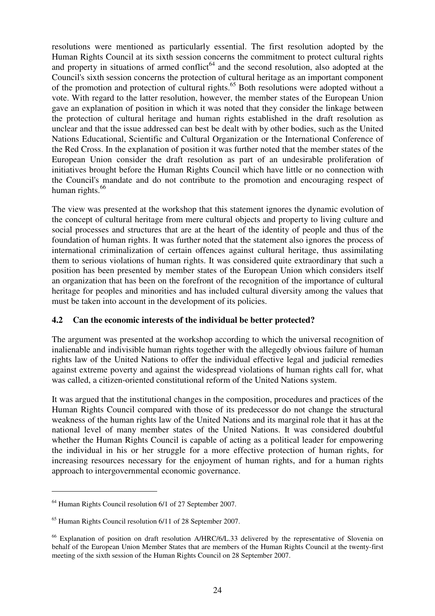resolutions were mentioned as particularly essential. The first resolution adopted by the Human Rights Council at its sixth session concerns the commitment to protect cultural rights and property in situations of armed conflict<sup>64</sup> and the second resolution, also adopted at the Council's sixth session concerns the protection of cultural heritage as an important component of the promotion and protection of cultural rights.<sup>65</sup> Both resolutions were adopted without a vote. With regard to the latter resolution, however, the member states of the European Union gave an explanation of position in which it was noted that they consider the linkage between the protection of cultural heritage and human rights established in the draft resolution as unclear and that the issue addressed can best be dealt with by other bodies, such as the United Nations Educational, Scientific and Cultural Organization or the International Conference of the Red Cross. In the explanation of position it was further noted that the member states of the European Union consider the draft resolution as part of an undesirable proliferation of initiatives brought before the Human Rights Council which have little or no connection with the Council's mandate and do not contribute to the promotion and encouraging respect of human rights. 66

The view was presented at the workshop that this statement ignores the dynamic evolution of the concept of cultural heritage from mere cultural objects and property to living culture and social processes and structures that are at the heart of the identity of people and thus of the foundation of human rights. It was further noted that the statement also ignores the process of international criminalization of certain offences against cultural heritage, thus assimilating them to serious violations of human rights. It was considered quite extraordinary that such a position has been presented by member states of the European Union which considers itself an organization that has been on the forefront of the recognition of the importance of cultural heritage for peoples and minorities and has included cultural diversity among the values that must be taken into account in the development of its policies.

### **4.2 Can the economic interests of the individual be better protected?**

The argument was presented at the workshop according to which the universal recognition of inalienable and indivisible human rights together with the allegedly obvious failure of human rights law of the United Nations to offer the individual effective legal and judicial remedies against extreme poverty and against the widespread violations of human rights call for, what was called, a citizen-oriented constitutional reform of the United Nations system.

It was argued that the institutional changes in the composition, procedures and practices of the Human Rights Council compared with those of its predecessor do not change the structural weakness of the human rights law of the United Nations and its marginal role that it has at the national level of many member states of the United Nations. It was considered doubtful whether the Human Rights Council is capable of acting as a political leader for empowering the individual in his or her struggle for a more effective protection of human rights, for increasing resources necessary for the enjoyment of human rights, and for a human rights approach to intergovernmental economic governance.

<sup>64</sup> Human Rights Council resolution 6/1 of 27 September 2007.

<sup>65</sup> Human Rights Council resolution 6/11 of 28 September 2007.

<sup>&</sup>lt;sup>66</sup> Explanation of position on draft resolution A/HRC/6/L.33 delivered by the representative of Slovenia on behalf of the European Union Member States that are members of the Human Rights Council at the twenty-first meeting of the sixth session of the Human Rights Council on 28 September 2007.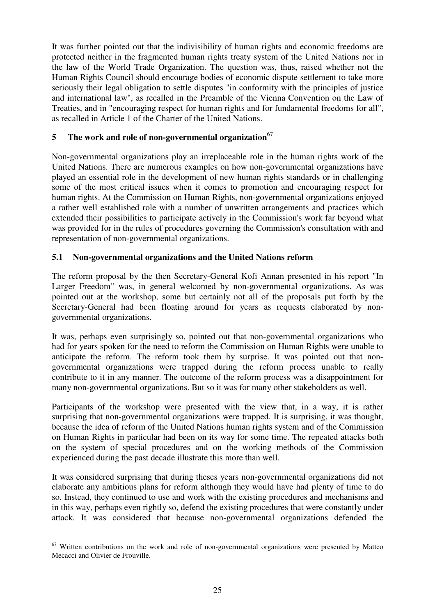It was further pointed out that the indivisibility of human rights and economic freedoms are protected neither in the fragmented human rights treaty system of the United Nations nor in the law of the World Trade Organization. The question was, thus, raised whether not the Human Rights Council should encourage bodies of economic dispute settlement to take more seriously their legal obligation to settle disputes "in conformity with the principles of justice and international law", as recalled in the Preamble of the Vienna Convention on the Law of Treaties, and in "encouraging respect for human rights and for fundamental freedoms for all", as recalled in Article 1 of the Charter of the United Nations.

### **5 The work and role of non-governmental organization** 67

Non-governmental organizations play an irreplaceable role in the human rights work of the United Nations. There are numerous examples on how non-governmental organizations have played an essential role in the development of new human rights standards or in challenging some of the most critical issues when it comes to promotion and encouraging respect for human rights. At the Commission on Human Rights, non-governmental organizations enjoyed a rather well established role with a number of unwritten arrangements and practices which extended their possibilities to participate actively in the Commission's work far beyond what was provided for in the rules of procedures governing the Commission's consultation with and representation of non-governmental organizations.

### **5.1 Non-governmental organizations and the United Nations reform**

The reform proposal by the then Secretary-General Kofi Annan presented in his report "In Larger Freedom" was, in general welcomed by non-governmental organizations. As was pointed out at the workshop, some but certainly not all of the proposals put forth by the Secretary-General had been floating around for years as requests elaborated by nongovernmental organizations.

It was, perhaps even surprisingly so, pointed out that non-governmental organizations who had for years spoken for the need to reform the Commission on Human Rights were unable to anticipate the reform. The reform took them by surprise. It was pointed out that nongovernmental organizations were trapped during the reform process unable to really contribute to it in any manner. The outcome of the reform process was a disappointment for many non-governmental organizations. But so it was for many other stakeholders as well.

Participants of the workshop were presented with the view that, in a way, it is rather surprising that non-governmental organizations were trapped. It is surprising, it was thought, because the idea of reform of the United Nations human rights system and of the Commission on Human Rights in particular had been on its way for some time. The repeated attacks both on the system of special procedures and on the working methods of the Commission experienced during the past decade illustrate this more than well.

It was considered surprising that during theses years non-governmental organizations did not elaborate any ambitious plans for reform although they would have had plenty of time to do so. Instead, they continued to use and work with the existing procedures and mechanisms and in this way, perhaps even rightly so, defend the existing procedures that were constantly under attack. It was considered that because non-governmental organizations defended the

 $67$  Written contributions on the work and role of non-governmental organizations were presented by Matteo Mecacci and Olivier de Frouville.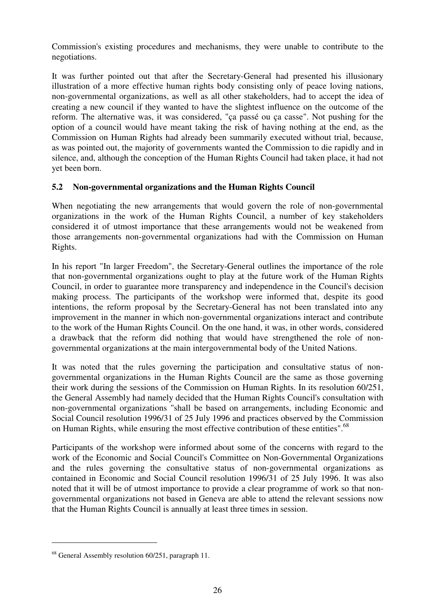Commission's existing procedures and mechanisms, they were unable to contribute to the negotiations.

It was further pointed out that after the Secretary-General had presented his illusionary illustration of a more effective human rights body consisting only of peace loving nations, non-governmental organizations, as well as all other stakeholders, had to accept the idea of creating a new council if they wanted to have the slightest influence on the outcome of the reform. The alternative was, it was considered, "ça passé ou ça casse". Not pushing for the option of a council would have meant taking the risk of having nothing at the end, as the Commission on Human Rights had already been summarily executed without trial, because, as was pointed out, the majority of governments wanted the Commission to die rapidly and in silence, and, although the conception of the Human Rights Council had taken place, it had not yet been born.

### **5.2 Non-governmental organizations and the Human Rights Council**

When negotiating the new arrangements that would govern the role of non-governmental organizations in the work of the Human Rights Council, a number of key stakeholders considered it of utmost importance that these arrangements would not be weakened from those arrangements non-governmental organizations had with the Commission on Human Rights.

In his report "In larger Freedom", the Secretary-General outlines the importance of the role that non-governmental organizations ought to play at the future work of the Human Rights Council, in order to guarantee more transparency and independence in the Council's decision making process. The participants of the workshop were informed that, despite its good intentions, the reform proposal by the Secretary-General has not been translated into any improvement in the manner in which non-governmental organizations interact and contribute to the work of the Human Rights Council. On the one hand, it was, in other words, considered a drawback that the reform did nothing that would have strengthened the role of nongovernmental organizations at the main intergovernmental body of the United Nations.

It was noted that the rules governing the participation and consultative status of nongovernmental organizations in the Human Rights Council are the same as those governing their work during the sessions of the Commission on Human Rights. In its resolution 60/251, the General Assembly had namely decided that the Human Rights Council's consultation with non-governmental organizations "shall be based on arrangements, including Economic and Social Council resolution 1996/31 of 25 July 1996 and practices observed by the Commission on Human Rights, while ensuring the most effective contribution of these entities".<sup>68</sup>

Participants of the workshop were informed about some of the concerns with regard to the work of the Economic and Social Council's Committee on Non-Governmental Organizations and the rules governing the consultative status of non-governmental organizations as contained in Economic and Social Council resolution 1996/31 of 25 July 1996. It was also noted that it will be of utmost importance to provide a clear programme of work so that nongovernmental organizations not based in Geneva are able to attend the relevant sessions now that the Human Rights Council is annually at least three times in session.

<sup>&</sup>lt;sup>68</sup> General Assembly resolution 60/251, paragraph 11.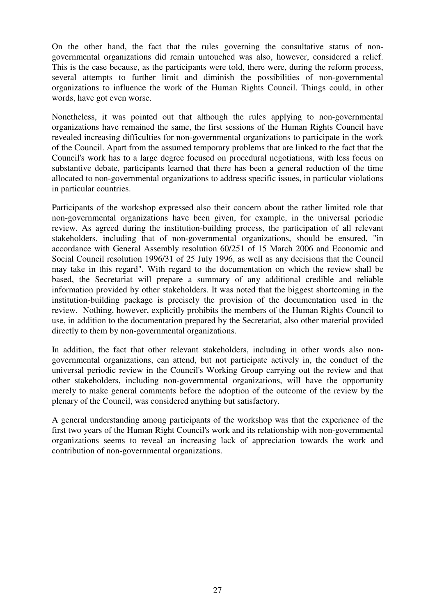On the other hand, the fact that the rules governing the consultative status of nongovernmental organizations did remain untouched was also, however, considered a relief. This is the case because, as the participants were told, there were, during the reform process, several attempts to further limit and diminish the possibilities of non-governmental organizations to influence the work of the Human Rights Council. Things could, in other words, have got even worse.

Nonetheless, it was pointed out that although the rules applying to non-governmental organizations have remained the same, the first sessions of the Human Rights Council have revealed increasing difficulties for non-governmental organizations to participate in the work of the Council. Apart from the assumed temporary problems that are linked to the fact that the Council's work has to a large degree focused on procedural negotiations, with less focus on substantive debate, participants learned that there has been a general reduction of the time allocated to non-governmental organizations to address specific issues, in particular violations in particular countries.

Participants of the workshop expressed also their concern about the rather limited role that non-governmental organizations have been given, for example, in the universal periodic review. As agreed during the institution-building process, the participation of all relevant stakeholders, including that of non-governmental organizations, should be ensured, "in accordance with General Assembly resolution 60/251 of 15 March 2006 and Economic and Social Council resolution 1996/31 of 25 July 1996, as well as any decisions that the Council may take in this regard". With regard to the documentation on which the review shall be based, the Secretariat will prepare a summary of any additional credible and reliable information provided by other stakeholders. It was noted that the biggest shortcoming in the institution-building package is precisely the provision of the documentation used in the review. Nothing, however, explicitly prohibits the members of the Human Rights Council to use, in addition to the documentation prepared by the Secretariat, also other material provided directly to them by non-governmental organizations.

In addition, the fact that other relevant stakeholders, including in other words also nongovernmental organizations, can attend, but not participate actively in, the conduct of the universal periodic review in the Council's Working Group carrying out the review and that other stakeholders, including non-governmental organizations, will have the opportunity merely to make general comments before the adoption of the outcome of the review by the plenary of the Council, was considered anything but satisfactory.

A general understanding among participants of the workshop was that the experience of the first two years of the Human Right Council's work and its relationship with non-governmental organizations seems to reveal an increasing lack of appreciation towards the work and contribution of non-governmental organizations.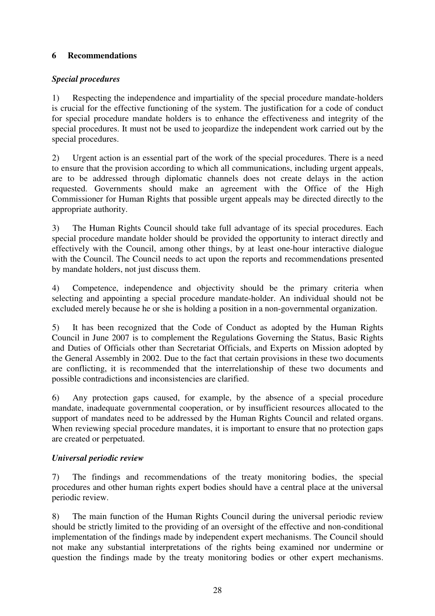### **6 Recommendations**

### *Special procedures*

1) Respecting the independence and impartiality of the special procedure mandate-holders is crucial for the effective functioning of the system. The justification for a code of conduct for special procedure mandate holders is to enhance the effectiveness and integrity of the special procedures. It must not be used to jeopardize the independent work carried out by the special procedures.

2) Urgent action is an essential part of the work of the special procedures. There is a need to ensure that the provision according to which all communications, including urgent appeals, are to be addressed through diplomatic channels does not create delays in the action requested. Governments should make an agreement with the Office of the High Commissioner for Human Rights that possible urgent appeals may be directed directly to the appropriate authority.

3) The Human Rights Council should take full advantage of its special procedures. Each special procedure mandate holder should be provided the opportunity to interact directly and effectively with the Council, among other things, by at least one-hour interactive dialogue with the Council. The Council needs to act upon the reports and recommendations presented by mandate holders, not just discuss them.

4) Competence, independence and objectivity should be the primary criteria when selecting and appointing a special procedure mandate-holder. An individual should not be excluded merely because he or she is holding a position in a non-governmental organization.

5) It has been recognized that the Code of Conduct as adopted by the Human Rights Council in June 2007 is to complement the Regulations Governing the Status, Basic Rights and Duties of Officials other than Secretariat Officials, and Experts on Mission adopted by the General Assembly in 2002. Due to the fact that certain provisions in these two documents are conflicting, it is recommended that the interrelationship of these two documents and possible contradictions and inconsistencies are clarified.

6) Any protection gaps caused, for example, by the absence of a special procedure mandate, inadequate governmental cooperation, or by insufficient resources allocated to the support of mandates need to be addressed by the Human Rights Council and related organs. When reviewing special procedure mandates, it is important to ensure that no protection gaps are created or perpetuated.

### *Universal periodic review*

7) The findings and recommendations of the treaty monitoring bodies, the special procedures and other human rights expert bodies should have a central place at the universal periodic review.

8) The main function of the Human Rights Council during the universal periodic review should be strictly limited to the providing of an oversight of the effective and non-conditional implementation of the findings made by independent expert mechanisms. The Council should not make any substantial interpretations of the rights being examined nor undermine or question the findings made by the treaty monitoring bodies or other expert mechanisms.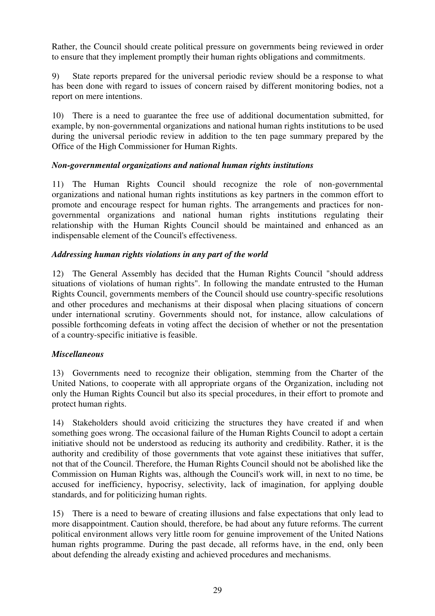Rather, the Council should create political pressure on governments being reviewed in order to ensure that they implement promptly their human rights obligations and commitments.

9) State reports prepared for the universal periodic review should be a response to what has been done with regard to issues of concern raised by different monitoring bodies, not a report on mere intentions.

10) There is a need to guarantee the free use of additional documentation submitted, for example, by non-governmental organizations and national human rights institutions to be used during the universal periodic review in addition to the ten page summary prepared by the Office of the High Commissioner for Human Rights.

### *Non-governmental organizations and national human rights institutions*

11) The Human Rights Council should recognize the role of non-governmental organizations and national human rights institutions as key partners in the common effort to promote and encourage respect for human rights. The arrangements and practices for nongovernmental organizations and national human rights institutions regulating their relationship with the Human Rights Council should be maintained and enhanced as an indispensable element of the Council's effectiveness.

### *Addressing human rights violations in any part of the world*

12) The General Assembly has decided that the Human Rights Council "should address situations of violations of human rights". In following the mandate entrusted to the Human Rights Council, governments members of the Council should use country-specific resolutions and other procedures and mechanisms at their disposal when placing situations of concern under international scrutiny. Governments should not, for instance, allow calculations of possible forthcoming defeats in voting affect the decision of whether or not the presentation of a country-specific initiative is feasible.

### *Miscellaneous*

13) Governments need to recognize their obligation, stemming from the Charter of the United Nations, to cooperate with all appropriate organs of the Organization, including not only the Human Rights Council but also its special procedures, in their effort to promote and protect human rights.

14) Stakeholders should avoid criticizing the structures they have created if and when something goes wrong. The occasional failure of the Human Rights Council to adopt a certain initiative should not be understood as reducing its authority and credibility. Rather, it is the authority and credibility of those governments that vote against these initiatives that suffer, not that of the Council. Therefore, the Human Rights Council should not be abolished like the Commission on Human Rights was, although the Council's work will, in next to no time, be accused for inefficiency, hypocrisy, selectivity, lack of imagination, for applying double standards, and for politicizing human rights.

15) There is a need to beware of creating illusions and false expectations that only lead to more disappointment. Caution should, therefore, be had about any future reforms. The current political environment allows very little room for genuine improvement of the United Nations human rights programme. During the past decade, all reforms have, in the end, only been about defending the already existing and achieved procedures and mechanisms.